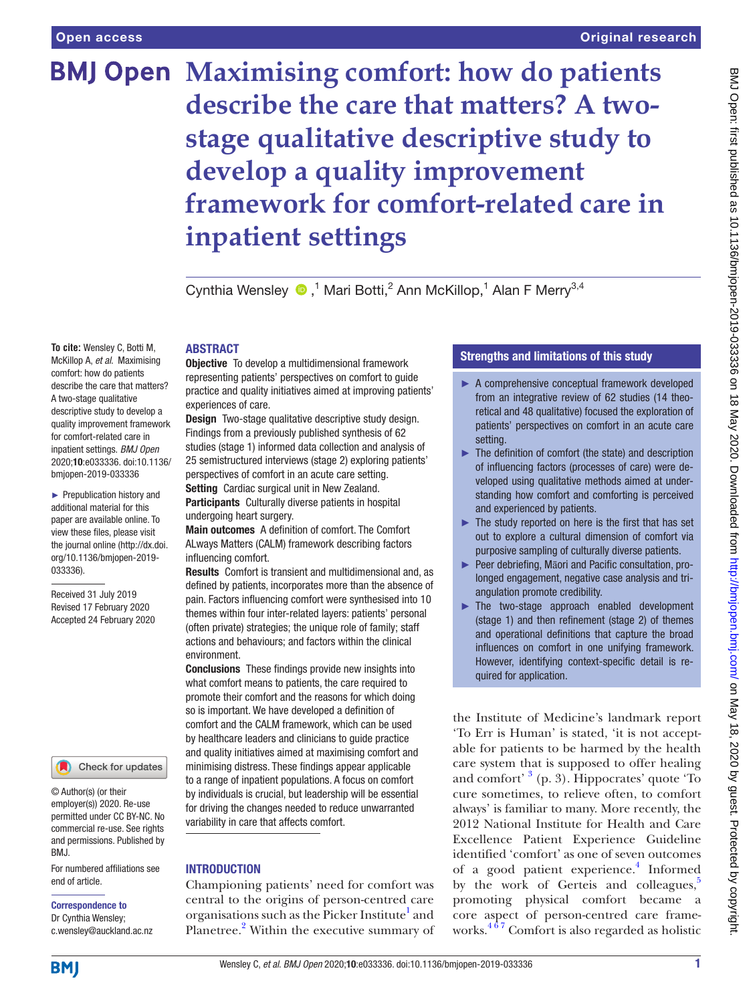**To cite:** Wensley C, Botti M, McKillop A, *et al*. Maximising comfort: how do patients describe the care that matters? A two-stage qualitative descriptive study to develop a quality improvement framework for comfort-related care in inpatient settings. *BMJ Open* 2020;10:e033336. doi:10.1136/ bmjopen-2019-033336 ► Prepublication history and additional material for this paper are available online. To view these files, please visit the journal online (http://dx.doi. org/10.1136/bmjopen-2019-

033336).

Received 31 July 2019 Revised 17 February 2020 Accepted 24 February 2020

# **BMJ Open Maximising comfort: how do patients describe the care that matters? A twostage qualitative descriptive study to develop a quality improvement framework for comfort-related care in inpatient settings**

CynthiaWensley  $\bigcirc$ ,<sup>1</sup> Mari Botti,<sup>2</sup> Ann McKillop,<sup>1</sup> Alan F Merry<sup>3,4</sup>

# **ABSTRACT**

**Objective** To develop a multidimensional framework representing patients' perspectives on comfort to guide practice and quality initiatives aimed at improving patients' experiences of care.

Design Two-stage qualitative descriptive study design. Findings from a previously published synthesis of 62 studies (stage 1) informed data collection and analysis of 25 semistructured interviews (stage 2) exploring patients' perspectives of comfort in an acute care setting.

Setting Cardiac surgical unit in New Zealand. Participants Culturally diverse patients in hospital undergoing heart surgery.

Main outcomes A definition of comfort. The Comfort ALways Matters (CALM) framework describing factors influencing comfort.

Results Comfort is transient and multidimensional and, as defined by patients, incorporates more than the absence of pain. Factors influencing comfort were synthesised into 10 themes within four inter-related layers: patients' personal (often private) strategies; the unique role of family; staff actions and behaviours; and factors within the clinical environment.

Conclusions These findings provide new insights into what comfort means to patients, the care required to promote their comfort and the reasons for which doing so is important. We have developed a definition of comfort and the CALM framework, which can be used by healthcare leaders and clinicians to guide practice and quality initiatives aimed at maximising comfort and minimising distress. These findings appear applicable to a range of inpatient populations. A focus on comfort by individuals is crucial, but leadership will be essential for driving the changes needed to reduce unwarranted variability in care that affects comfort.

# **INTRODUCTION**

Championing patients' need for comfort was central to the origins of person-centred care organisations such as the Picker Institute<sup>1</sup> and Planetree.<sup>[2](#page-16-1)</sup> Within the executive summary of

# Strengths and limitations of this study

- ► A comprehensive conceptual framework developed from an integrative review of 62 studies (14 theoretical and 48 qualitative) focused the exploration of patients' perspectives on comfort in an acute care setting.
- ► The definition of comfort (the state) and description of influencing factors (processes of care) were developed using qualitative methods aimed at understanding how comfort and comforting is perceived and experienced by patients.
- $\blacktriangleright$  The study reported on here is the first that has set out to explore a cultural dimension of comfort via purposive sampling of culturally diverse patients.
- ► Peer debriefing, Māori and Pacific consultation, prolonged engagement, negative case analysis and triangulation promote credibility.
- ► The two-stage approach enabled development (stage 1) and then refinement (stage 2) of themes and operational definitions that capture the broad influences on comfort in one unifying framework. However, identifying context-specific detail is required for application.

the Institute of Medicine's landmark report 'To Err is Human' is stated, 'it is not acceptable for patients to be harmed by the health care system that is supposed to offer healing and comfort' <sup>[3](#page-16-2)</sup> (p. 3). Hippocrates' quote 'To cure sometimes, to relieve often, to comfort always' is familiar to many. More recently, the 2012 National Institute for Health and Care Excellence Patient Experience Guideline identified 'comfort' as one of seven outcomes of a good patient experience.<sup>[4](#page-16-3)</sup> Informed by the work of Gerteis and colleagues, $5$ promoting physical comfort became a core aspect of person-centred care frameworks. $4\overline{6}$ <sup>7</sup> Comfort is also regarded as holistic

**BMI** 

end of article.

BMJ.

Correspondence to Dr Cynthia Wensley; c.wensley@auckland.ac.nz

© Author(s) (or their employer(s)) 2020. Re-use permitted under CC BY-NC. No commercial re-use. See rights and permissions. Published by

For numbered affiliations see

Check for updates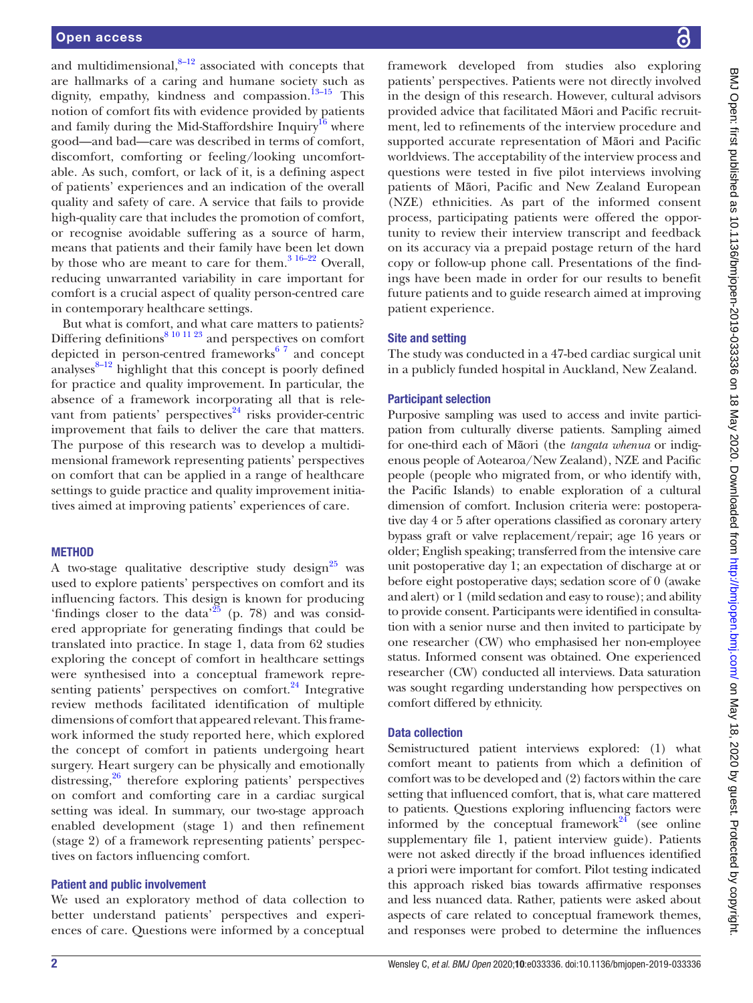and multidimensional, $8-12$  associated with concepts that are hallmarks of a caring and humane society such as dignity, empathy, kindness and compassion.<sup>13-15</sup> This notion of comfort fits with evidence provided by patients and family during the Mid-Staffordshire Inquiry<sup>16</sup> where good—and bad—care was described in terms of comfort, discomfort, comforting or feeling/looking uncomfortable. As such, comfort, or lack of it, is a defining aspect of patients' experiences and an indication of the overall quality and safety of care. A service that fails to provide high-quality care that includes the promotion of comfort, or recognise avoidable suffering as a source of harm, means that patients and their family have been let down by those who are meant to care for them. $316-22$  Overall, reducing unwarranted variability in care important for comfort is a crucial aspect of quality person-centred care in contemporary healthcare settings.

But what is comfort, and what care matters to patients? Differing definitions<sup>8 10 11 23</sup> and perspectives on comfort depicted in person-centred frameworks $67$  and concept analyses $8-12$  highlight that this concept is poorly defined for practice and quality improvement. In particular, the absence of a framework incorporating all that is relevant from patients' perspectives $24$  risks provider-centric improvement that fails to deliver the care that matters. The purpose of this research was to develop a multidimensional framework representing patients' perspectives on comfort that can be applied in a range of healthcare settings to guide practice and quality improvement initiatives aimed at improving patients' experiences of care.

# **METHOD**

A two-stage qualitative descriptive study design<sup>[25](#page-16-10)</sup> was used to explore patients' perspectives on comfort and its influencing factors. This design is known for producing 'findings closer to the data'<sup>25</sup> (p. 78) and was considered appropriate for generating findings that could be translated into practice. In stage 1, data from 62 studies exploring the concept of comfort in healthcare settings were synthesised into a conceptual framework representing patients' perspectives on comfort. $24$  Integrative review methods facilitated identification of multiple dimensions of comfort that appeared relevant. This framework informed the study reported here, which explored the concept of comfort in patients undergoing heart surgery. Heart surgery can be physically and emotionally distressing,<sup>26</sup> therefore exploring patients' perspectives on comfort and comforting care in a cardiac surgical setting was ideal. In summary, our two-stage approach enabled development (stage 1) and then refinement (stage 2) of a framework representing patients' perspectives on factors influencing comfort.

# Patient and public involvement

We used an exploratory method of data collection to better understand patients' perspectives and experiences of care. Questions were informed by a conceptual

framework developed from studies also exploring patients' perspectives. Patients were not directly involved in the design of this research. However, cultural advisors provided advice that facilitated Māori and Pacific recruitment, led to refinements of the interview procedure and supported accurate representation of Māori and Pacific worldviews. The acceptability of the interview process and questions were tested in five pilot interviews involving patients of Māori, Pacific and New Zealand European (NZE) ethnicities. As part of the informed consent process, participating patients were offered the opportunity to review their interview transcript and feedback on its accuracy via a prepaid postage return of the hard copy or follow-up phone call. Presentations of the findings have been made in order for our results to benefit future patients and to guide research aimed at improving patient experience.

# Site and setting

The study was conducted in a 47-bed cardiac surgical unit in a publicly funded hospital in Auckland, New Zealand.

# Participant selection

Purposive sampling was used to access and invite participation from culturally diverse patients. Sampling aimed for one-third each of Māori (the *tangata whenua* or indigenous people of Aotearoa/New Zealand), NZE and Pacific people (people who migrated from, or who identify with, the Pacific Islands) to enable exploration of a cultural dimension of comfort. Inclusion criteria were: postoperative day 4 or 5 after operations classified as coronary artery bypass graft or valve replacement/repair; age 16 years or older; English speaking; transferred from the intensive care unit postoperative day 1; an expectation of discharge at or before eight postoperative days; sedation score of 0 (awake and alert) or 1 (mild sedation and easy to rouse); and ability to provide consent. Participants were identified in consultation with a senior nurse and then invited to participate by one researcher (CW) who emphasised her non-employee status. Informed consent was obtained. One experienced researcher (CW) conducted all interviews. Data saturation was sought regarding understanding how perspectives on comfort differed by ethnicity.

# Data collection

Semistructured patient interviews explored: (1) what comfort meant to patients from which a definition of comfort was to be developed and (2) factors within the care setting that influenced comfort, that is, what care mattered to patients. Questions exploring influencing factors were informed by the conceptual framework $^{24}$  $^{24}$  $^{24}$  (see online [supplementary file 1,](https://dx.doi.org/10.1136/bmjopen-2019-033336) patient interview guide). Patients were not asked directly if the broad influences identified a priori were important for comfort. Pilot testing indicated this approach risked bias towards affirmative responses and less nuanced data. Rather, patients were asked about aspects of care related to conceptual framework themes, and responses were probed to determine the influences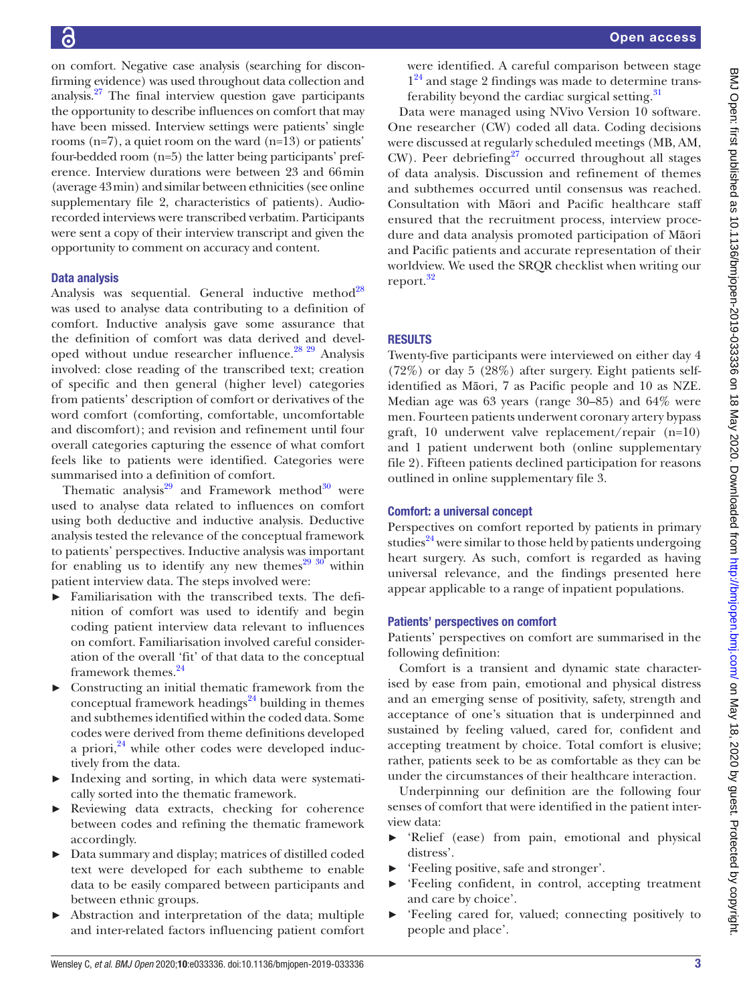on comfort. Negative case analysis (searching for disconfirming evidence) was used throughout data collection and analysis[.27](#page-16-12) The final interview question gave participants the opportunity to describe influences on comfort that may have been missed. Interview settings were patients' single rooms (n=7), a quiet room on the ward (n=13) or patients' four-bedded room (n=5) the latter being participants' preference. Interview durations were between 23 and 66min (average 43min) and similar between ethnicities (see [online](https://dx.doi.org/10.1136/bmjopen-2019-033336) [supplementary file 2](https://dx.doi.org/10.1136/bmjopen-2019-033336), characteristics of patients). Audiorecorded interviews were transcribed verbatim. Participants were sent a copy of their interview transcript and given the opportunity to comment on accuracy and content.

# Data analysis

Analysis was sequential. General inductive method<sup>28</sup> was used to analyse data contributing to a definition of comfort. Inductive analysis gave some assurance that the definition of comfort was data derived and developed without undue researcher influence. $2829$  Analysis involved: close reading of the transcribed text; creation of specific and then general (higher level) categories from patients' description of comfort or derivatives of the word comfort (comforting, comfortable, uncomfortable and discomfort); and revision and refinement until four overall categories capturing the essence of what comfort feels like to patients were identified. Categories were summarised into a definition of comfort.

Thematic analysis<sup>29</sup> and Framework method<sup>[30](#page-16-15)</sup> were used to analyse data related to influences on comfort using both deductive and inductive analysis. Deductive analysis tested the relevance of the conceptual framework to patients' perspectives. Inductive analysis was important for enabling us to identify any new themes<sup>[29 30](#page-16-14)</sup> within patient interview data. The steps involved were:

- ► Familiarisation with the transcribed texts. The definition of comfort was used to identify and begin coding patient interview data relevant to influences on comfort. Familiarisation involved careful consideration of the overall 'fit' of that data to the conceptual framework themes.<sup>24</sup>
- ► Constructing an initial thematic framework from the conceptual framework headings $24$  building in themes and subthemes identified within the coded data. Some codes were derived from theme definitions developed a priori, $^{24}$  $^{24}$  $^{24}$  while other codes were developed inductively from the data.
- Indexing and sorting, in which data were systematically sorted into the thematic framework.
- Reviewing data extracts, checking for coherence between codes and refining the thematic framework accordingly.
- ► Data summary and display; matrices of distilled coded text were developed for each subtheme to enable data to be easily compared between participants and between ethnic groups.
- ► Abstraction and interpretation of the data; multiple and inter-related factors influencing patient comfort

were identified. A careful comparison between stage  $1^{24}$  $1^{24}$  $1^{24}$  and stage 2 findings was made to determine transferability beyond the cardiac surgical setting. $31$ 

Data were managed using NVivo Version 10 software. One researcher (CW) coded all data. Coding decisions were discussed at regularly scheduled meetings (MB, AM,  $CW$ ). Peer debriefing<sup>[27](#page-16-12)</sup> occurred throughout all stages of data analysis. Discussion and refinement of themes and subthemes occurred until consensus was reached. Consultation with Māori and Pacific healthcare staff ensured that the recruitment process, interview procedure and data analysis promoted participation of Māori and Pacific patients and accurate representation of their worldview. We used the SRQR checklist when writing our report.<sup>[32](#page-16-17)</sup>

# **RESULTS**

Twenty-five participants were interviewed on either day 4 (72%) or day 5 (28%) after surgery. Eight patients selfidentified as Māori, 7 as Pacific people and 10 as NZE. Median age was 63 years (range 30–85) and 64% were men. Fourteen patients underwent coronary artery bypass graft, 10 underwent valve replacement/repair (n=10) and 1 patient underwent both ([online supplementary](https://dx.doi.org/10.1136/bmjopen-2019-033336)  [file 2](https://dx.doi.org/10.1136/bmjopen-2019-033336)). Fifteen patients declined participation for reasons outlined in [online supplementary file 3.](https://dx.doi.org/10.1136/bmjopen-2019-033336)

# Comfort: a universal concept

Perspectives on comfort reported by patients in primary studies $^{24}$  were similar to those held by patients undergoing heart surgery. As such, comfort is regarded as having universal relevance, and the findings presented here appear applicable to a range of inpatient populations.

# Patients' perspectives on comfort

Patients' perspectives on comfort are summarised in the following definition:

Comfort is a transient and dynamic state characterised by ease from pain, emotional and physical distress and an emerging sense of positivity, safety, strength and acceptance of one's situation that is underpinned and sustained by feeling valued, cared for, confident and accepting treatment by choice. Total comfort is elusive; rather, patients seek to be as comfortable as they can be under the circumstances of their healthcare interaction.

Underpinning our definition are the following four senses of comfort that were identified in the patient interview data:

- ► 'Relief (ease) from pain, emotional and physical distress'.
- ► 'Feeling positive, safe and stronger'.
- ► 'Feeling confident, in control, accepting treatment and care by choice'.
- ► 'Feeling cared for, valued; connecting positively to people and place'.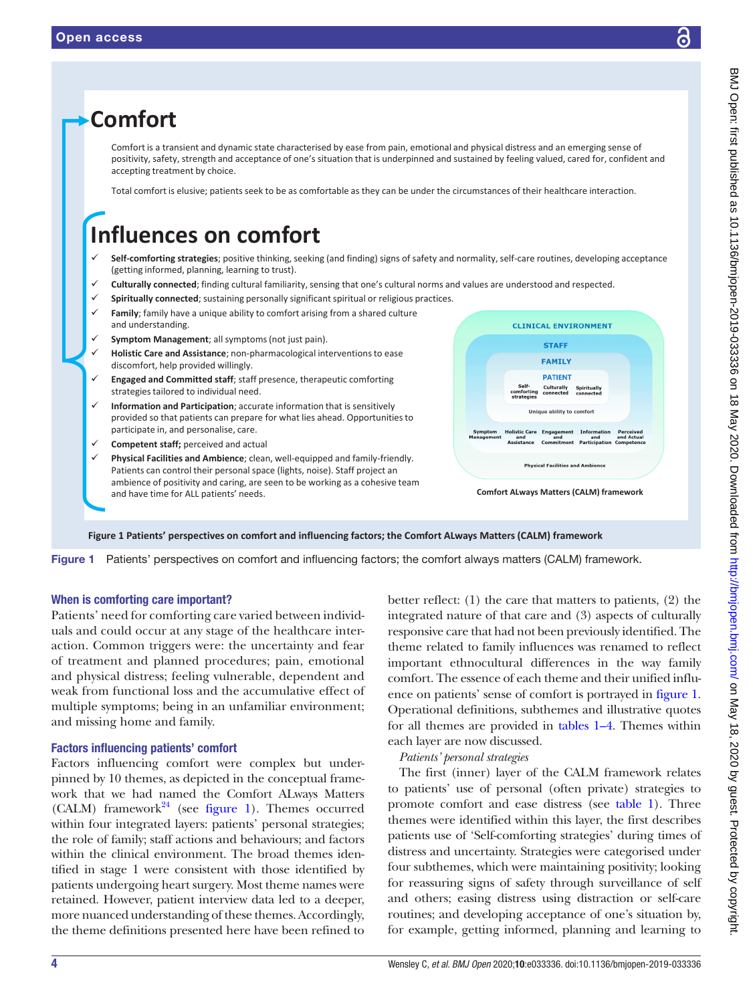

<span id="page-3-0"></span>Figure 1 Patients' perspectives on comfort and influencing factors; the comfort always matters (CALM) framework.

# When is comforting care important?

Patients' need for comforting care varied between individuals and could occur at any stage of the healthcare interaction. Common triggers were: the uncertainty and fear of treatment and planned procedures; pain, emotional and physical distress; feeling vulnerable, dependent and weak from functional loss and the accumulative effect of multiple symptoms; being in an unfamiliar environment; and missing home and family.

# Factors influencing patients' comfort

Factors influencing comfort were complex but underpinned by 10 themes, as depicted in the conceptual framework that we had named the Comfort ALways Matters (CALM) framework<sup>[24](#page-16-9)</sup> (see [figure](#page-3-0) 1). Themes occurred within four integrated layers: patients' personal strategies; the role of family; staff actions and behaviours; and factors within the clinical environment. The broad themes identified in stage 1 were consistent with those identified by patients undergoing heart surgery. Most theme names were retained. However, patient interview data led to a deeper, more nuanced understanding of these themes. Accordingly, the theme definitions presented here have been refined to

better reflect: (1) the care that matters to patients, (2) the integrated nature of that care and (3) aspects of culturally responsive care that had not been previously identified. The theme related to family influences was renamed to reflect important ethnocultural differences in the way family comfort. The essence of each theme and their unified influence on patients' sense of comfort is portrayed in [figure](#page-3-0) 1. Operational definitions, subthemes and illustrative quotes for all themes are provided in [tables](#page-4-0) 1–4. Themes within each layer are now discussed.

# *Patients' personal strategies*

The first (inner) layer of the CALM framework relates to patients' use of personal (often private) strategies to promote comfort and ease distress (see [table](#page-4-0) 1). Three themes were identified within this layer, the first describes patients use of 'Self-comforting strategies' during times of distress and uncertainty. Strategies were categorised under four subthemes, which were maintaining positivity; looking for reassuring signs of safety through surveillance of self and others; easing distress using distraction or self-care routines; and developing acceptance of one's situation by, for example, getting informed, planning and learning to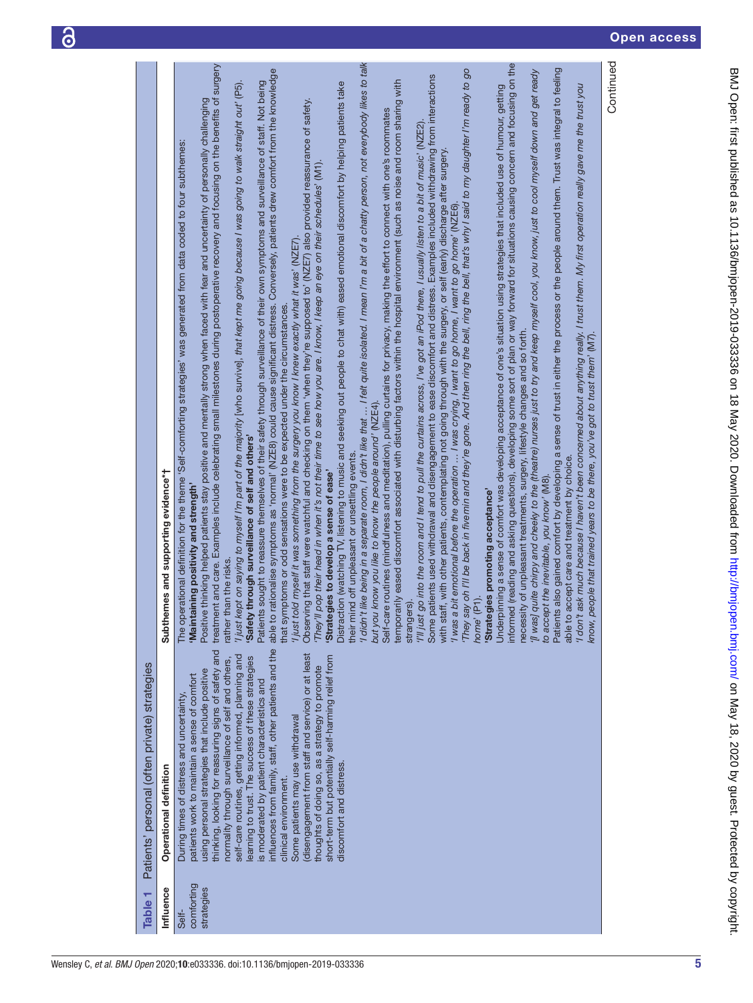|                                               |                                          | Continued<br>'l didn't like being in a separate room, I didn't like that  I felt quite isolated. I mean I'm a bit of a chatty person, not everybody likes to talk<br>informed (reading and asking questions), developing some sort of plan or way forward for situations causing concern and focusing on the<br>treatment and care. Examples include celebrating small milestones during postoperative recovery and focusing on the benefits of surgery<br>Patients also gained comfort by developing a sense of trust in either the process or the people around them. Trust was integral to feeling<br>'They say oh I'll be back in fivernin and they're gone. And then ring the bell, ring the bell, that's why I said to my daughter I'm ready to go<br>able to rationalise symptoms as 'normal' (NZE8) could cause significant distress. Conversely, patients drew comfort from the knowledge<br>'[I was] quite chirpy and cheeky to the (theatre) nurses just to try and keep myself cool, you know, just to cool myself down and get ready<br>Some patients used withdrawal and disengagement to ease discomfort and distress. Examples included withdrawing from interactions<br>temporarily eased discomfort associated with disturbing factors within the hospital environment (such as noise and room sharing with<br>Patients sought to reassure themselves of their safety through surveillance of their own symptoms and surveillance of staff. Not being<br>Distraction (watching TV, listening to music and seeking out people to chat with) eased emotional discomfort by helping patients take<br>'l just kept on saying to myself I'm part of the majority [who survive], that kept me going because I was going to walk straight out' (P5).<br>Underpinning a sense of comfort was developing acceptance of one's situation using strategies that included use of humour, getting<br>'I don't ask much because I haven't been concerned about anything really. I trust them. My first operation really gave me the trust you<br>Positive thinking helped patients stay positive and mentally strong when faced with fear and uncertainty of personally challenging<br>Observing that staff were watchful and checking on them 'when they're supposed to' (NZE7) also provided reassurance of safety.<br>Self-care routines (mindfulness and meditation), pulling curtains for privacy, making the effort to connect with one's roommates<br>'I'll just go into the room and I tend to pull the curtains across, I've got an iPod there, I usually listen to a bit of music' (NZE2)<br>operational definition for the theme 'Self-comforting strategies' was generated from data coded to four subthemes:<br>with staff, with other patients, contemplating not going through with the surgery, or self (early) discharge after surgery.<br>'They'll pop their head in when it's not their time to see how you are. I know, I keep an eye on their schedules' (M1)<br>I was a bit emotional before the operation  I was crying, I want to go home, I want to go home' (NZE6).<br>'I just told myself it was something from the surgery you know I knew exactly what it was' (NZE7).<br>symptoms or odd sensations were to be expected under the circumstances. |
|-----------------------------------------------|------------------------------------------|-----------------------------------------------------------------------------------------------------------------------------------------------------------------------------------------------------------------------------------------------------------------------------------------------------------------------------------------------------------------------------------------------------------------------------------------------------------------------------------------------------------------------------------------------------------------------------------------------------------------------------------------------------------------------------------------------------------------------------------------------------------------------------------------------------------------------------------------------------------------------------------------------------------------------------------------------------------------------------------------------------------------------------------------------------------------------------------------------------------------------------------------------------------------------------------------------------------------------------------------------------------------------------------------------------------------------------------------------------------------------------------------------------------------------------------------------------------------------------------------------------------------------------------------------------------------------------------------------------------------------------------------------------------------------------------------------------------------------------------------------------------------------------------------------------------------------------------------------------------------------------------------------------------------------------------------------------------------------------------------------------------------------------------------------------------------------------------------------------------------------------------------------------------------------------------------------------------------------------------------------------------------------------------------------------------------------------------------------------------------------------------------------------------------------------------------------------------------------------------------------------------------------------------------------------------------------------------------------------------------------------------------------------------------------------------------------------------------------------------------------------------------------------------------------------------------------------------------------------------------------------------------------------------------------------------------------------------------------------------------------------------------------------------------------------------------------------------------------------------------------------------------------------------------------------------------------------------------------------------------------------------------------------------|
|                                               | themes and supporting evidence*†<br>Subt | necessity of unpleasant treatments, surgery, lifestyle changes and so forth.<br>know, people that trained years to be there, you've got to trust them' (M7).<br>but you know you like to know the people around' (NZE4).<br>'Safety through surveillance of self and others'<br>their mind off unpleasant or unsettling events.<br>able to accept care and treatment by choice.<br>'Strategies to develop a sense of ease'<br>to accept the inevitable, you know' (M8).<br>'Maintaining positivity and strength'<br>'Strategies promoting acceptance'<br>rather than the risks.<br>home' (P1).<br>strangers).<br>The<br>that                                                                                                                                                                                                                                                                                                                                                                                                                                                                                                                                                                                                                                                                                                                                                                                                                                                                                                                                                                                                                                                                                                                                                                                                                                                                                                                                                                                                                                                                                                                                                                                                                                                                                                                                                                                                                                                                                                                                                                                                                                                                                                                                                                                                                                                                                                                                                                                                                                                                                                                                                                                                                                                      |
| Patients' personal (often private) strategies | Operational definition                   | influences from family, staff, other patients and the<br>thinking, looking for reassuring signs of safety and<br>(disengagement from staff and service) or at least<br>self-care routines, getting informed, planning and<br>short-term but potentially self-harming relief from<br>learning to trust. The success of these strategies<br>normality through surveillance of self and others,<br>thoughts of doing so, as a strategy to promote<br>using personal strategies that include positive<br>patients work to maintain a sense of comfort<br>is moderated by patient characteristics and<br>During times of distress and uncertainty,<br>Some patients may use withdrawal<br>discomfort and distress.<br>clinical environment.                                                                                                                                                                                                                                                                                                                                                                                                                                                                                                                                                                                                                                                                                                                                                                                                                                                                                                                                                                                                                                                                                                                                                                                                                                                                                                                                                                                                                                                                                                                                                                                                                                                                                                                                                                                                                                                                                                                                                                                                                                                                                                                                                                                                                                                                                                                                                                                                                                                                                                                                            |
| ┯<br><b>Table</b>                             | Influence                                | comforting<br>strategies<br>Self-                                                                                                                                                                                                                                                                                                                                                                                                                                                                                                                                                                                                                                                                                                                                                                                                                                                                                                                                                                                                                                                                                                                                                                                                                                                                                                                                                                                                                                                                                                                                                                                                                                                                                                                                                                                                                                                                                                                                                                                                                                                                                                                                                                                                                                                                                                                                                                                                                                                                                                                                                                                                                                                                                                                                                                                                                                                                                                                                                                                                                                                                                                                                                                                                                                                 |

<span id="page-4-0"></span>5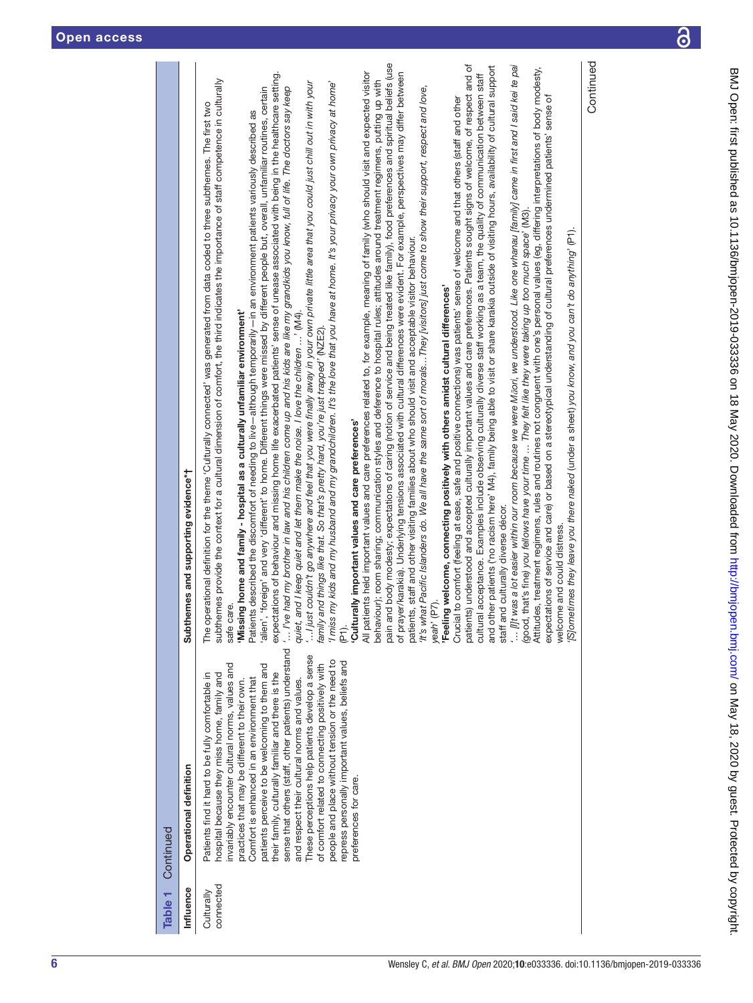| Table <sub>1</sub>      | Continued                                                                                                                                                                                                                                                                                                                                                                                                                                                                                                                                                                                                                                                                                               |                                                                                                                                                                                                                                                                                                                                                                                                                                                                                                                                                                                                                                                                                                                                                                                                                                                                                                                                                                                                                                                                                                                                                                                                                                                                                                                                                                                                                                                                                                                                                                                                                                                                                                                                                                                                                                                                                                                                                                                                                                                                                                                                                                                                                                                                                                                                                                                                                                                                                                                                                                                                                                                                                                                                                                                                                                                                                                                                                                                                                                                                                                                                                                                                                                                                                                                                                                                                                                                                                                                                                                                                                                                                                                                                                              |
|-------------------------|---------------------------------------------------------------------------------------------------------------------------------------------------------------------------------------------------------------------------------------------------------------------------------------------------------------------------------------------------------------------------------------------------------------------------------------------------------------------------------------------------------------------------------------------------------------------------------------------------------------------------------------------------------------------------------------------------------|--------------------------------------------------------------------------------------------------------------------------------------------------------------------------------------------------------------------------------------------------------------------------------------------------------------------------------------------------------------------------------------------------------------------------------------------------------------------------------------------------------------------------------------------------------------------------------------------------------------------------------------------------------------------------------------------------------------------------------------------------------------------------------------------------------------------------------------------------------------------------------------------------------------------------------------------------------------------------------------------------------------------------------------------------------------------------------------------------------------------------------------------------------------------------------------------------------------------------------------------------------------------------------------------------------------------------------------------------------------------------------------------------------------------------------------------------------------------------------------------------------------------------------------------------------------------------------------------------------------------------------------------------------------------------------------------------------------------------------------------------------------------------------------------------------------------------------------------------------------------------------------------------------------------------------------------------------------------------------------------------------------------------------------------------------------------------------------------------------------------------------------------------------------------------------------------------------------------------------------------------------------------------------------------------------------------------------------------------------------------------------------------------------------------------------------------------------------------------------------------------------------------------------------------------------------------------------------------------------------------------------------------------------------------------------------------------------------------------------------------------------------------------------------------------------------------------------------------------------------------------------------------------------------------------------------------------------------------------------------------------------------------------------------------------------------------------------------------------------------------------------------------------------------------------------------------------------------------------------------------------------------------------------------------------------------------------------------------------------------------------------------------------------------------------------------------------------------------------------------------------------------------------------------------------------------------------------------------------------------------------------------------------------------------------------------------------------------------------------------------------------------|
| Influence               | Operational definition                                                                                                                                                                                                                                                                                                                                                                                                                                                                                                                                                                                                                                                                                  | Subthemes and supporting evidence*†                                                                                                                                                                                                                                                                                                                                                                                                                                                                                                                                                                                                                                                                                                                                                                                                                                                                                                                                                                                                                                                                                                                                                                                                                                                                                                                                                                                                                                                                                                                                                                                                                                                                                                                                                                                                                                                                                                                                                                                                                                                                                                                                                                                                                                                                                                                                                                                                                                                                                                                                                                                                                                                                                                                                                                                                                                                                                                                                                                                                                                                                                                                                                                                                                                                                                                                                                                                                                                                                                                                                                                                                                                                                                                                          |
| connected<br>Culturally | sense that others (staff, other patients) understand<br>These perceptions help patients develop a sense<br>beople and place without tension or the need to<br>repress personally important values, beliefs and<br>invariably encounter cultural norms, values and<br>of comfort related to connecting positively with<br>patients perceive to be welcoming to them and<br>their family, culturally familiar and there is the<br>nospital because they miss home, family and<br>Patients find it hard to be fully comfortable in<br>Comfort is enhanced in an environment that<br>practices that may be different to their own.<br>and respect their cultural norms and values.<br>preferences for care. | Continued<br>pain and body modesty; expectations of caring (notion of service and being treated like family), food preferences and spiritual beliefs (use<br>patients) understood and accepted culturally important values and care preferences. Patients sought signs of welcome, of respect and of<br>and other patients ('no racism here' M4), family being able to visit or share karakia outside of visiting hours, availability of cultural support<br>$\ldots$ [i]t was a lot easier within our room because we were Mūori, we understood. Like one whanau [family] came in first and I said kei te pai<br>Attitudes, treatment regimens, rules and routines not congruent with one's personal values (eg, differing interpretations of body modesty,<br>All patients held important values and care preferences related to, for example, meaning of family (who should visit and expected visitor<br>expectations of behaviour and missing home life exacerbated patients' sense of unease associated with being in the healthcare setting.<br>of prayer/karakia). Underlying tensions associated with cultural differences were evident. For example, perspectives may differ between<br>cultural acceptance. Examples include observing culturally diverse staff working as a team, the quality of communication between staff<br>subthemes provide the context for a cultural dimension of comfort, the third indicates the importance of staff competence in culturally<br>behaviour); room sharing; communication styles and deference to hospital rules; attitudes around treatment regimens, putting up with<br>I just couldn't go anywhere and feel that you were finally away in your own private little area that you could just chill out in with your<br>'I miss my kids and my husband and my grandchildren. It's the love that you have at home. It's your privacy your own privacy at home'<br>'alien', 'foreign' and very 'different' to home. Different things were missed by different people but, overall, unfamiliar routines, certain<br>'It's what Pacific Islanders do. We all have the same sort of moralsThey [visitors] just come to show their support, respect and love,<br>I've had my brother in law and his children come up and his kids are like my grandkids you know, full of life. The doctors say keep<br>expectations of service and care) or based on a stereotypical understanding of cultural preferences undermined patients' sense of<br>Crucial to comfort (feeling at ease, safe and positive connections) was patients' sense of welcome and that others (staff and other<br>perational definition for the theme 'Culturally connected' was generated from data coded to three subthemes. The first two<br>Patients described the discomfort of needing to live-although temporarily-in an environment patients variously described as<br>(good, that's fine) you fellows have your time  They felt like they were taking up too much space' (M3).<br>[S]ometimes they leave you there naked (under a sheet) you know, and you can't do anything' (P1).<br>patients, staff and other visiting families about who should visit and acceptable visitor behaviour.<br>'Feeling welcome, connecting positively with others amidst cultural differences'<br>'Missing home and family - hospital as a culturally unfamiliar environment'<br>and I keep quiet and let them make the noise. I love the children ' (M4).<br>family and things like that. So that's pretty hard, you're just trapped' (NZE2)<br>'Culturally important values and care preferences'<br>staff and culturally diverse décor.<br>welcome and could distress.<br>(P7).<br>safe care.<br>The o<br>quiet,<br>yeah <sup>?</sup><br>(PI). |
|                         |                                                                                                                                                                                                                                                                                                                                                                                                                                                                                                                                                                                                                                                                                                         |                                                                                                                                                                                                                                                                                                                                                                                                                                                                                                                                                                                                                                                                                                                                                                                                                                                                                                                                                                                                                                                                                                                                                                                                                                                                                                                                                                                                                                                                                                                                                                                                                                                                                                                                                                                                                                                                                                                                                                                                                                                                                                                                                                                                                                                                                                                                                                                                                                                                                                                                                                                                                                                                                                                                                                                                                                                                                                                                                                                                                                                                                                                                                                                                                                                                                                                                                                                                                                                                                                                                                                                                                                                                                                                                                              |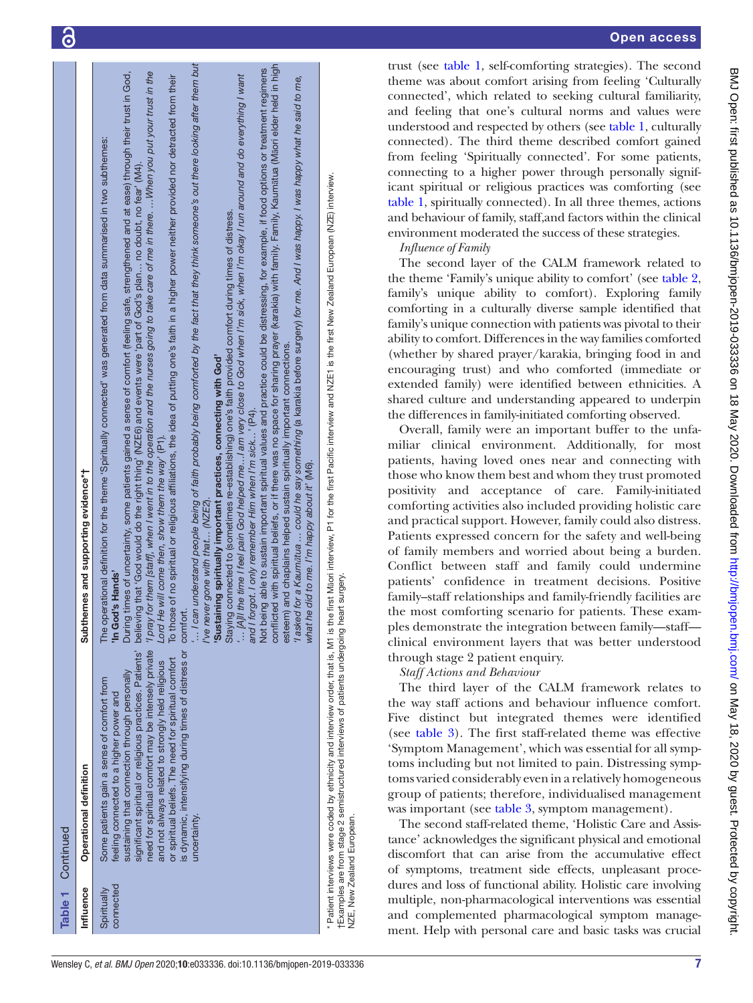| <b>Table 1</b> Continued |                                                                                                                                                                                                                                                                                                                                                                                                                                                     |                                                                                                                                                                                                                                                                                                                                                                                                                                                                                                                                                                                                                                                                                                                                                                                                                                                                                                                                                                                                                                                                                                                                                                                                                                                                                                                                                                                                                                                                                                                                                                                                                                                                                                                                                                                                                                                                                                                  |
|--------------------------|-----------------------------------------------------------------------------------------------------------------------------------------------------------------------------------------------------------------------------------------------------------------------------------------------------------------------------------------------------------------------------------------------------------------------------------------------------|------------------------------------------------------------------------------------------------------------------------------------------------------------------------------------------------------------------------------------------------------------------------------------------------------------------------------------------------------------------------------------------------------------------------------------------------------------------------------------------------------------------------------------------------------------------------------------------------------------------------------------------------------------------------------------------------------------------------------------------------------------------------------------------------------------------------------------------------------------------------------------------------------------------------------------------------------------------------------------------------------------------------------------------------------------------------------------------------------------------------------------------------------------------------------------------------------------------------------------------------------------------------------------------------------------------------------------------------------------------------------------------------------------------------------------------------------------------------------------------------------------------------------------------------------------------------------------------------------------------------------------------------------------------------------------------------------------------------------------------------------------------------------------------------------------------------------------------------------------------------------------------------------------------|
| Influence                | Operational definition                                                                                                                                                                                                                                                                                                                                                                                                                              | Subthemes and supporting evidence*†                                                                                                                                                                                                                                                                                                                                                                                                                                                                                                                                                                                                                                                                                                                                                                                                                                                                                                                                                                                                                                                                                                                                                                                                                                                                                                                                                                                                                                                                                                                                                                                                                                                                                                                                                                                                                                                                              |
| connected<br>Spiritually | is dynamic, intensifying during times of distress or comfor<br>need for spiritual comfort may be intensely private<br>significant spiritual or religious practices. Patients'<br>or spiritual beliefs. The need for spiritual comfort<br>and not always related to strongly held religious<br>sustaining that connection through personally<br>Some patients gain a sense of comfort from<br>feeling connected to a higher power and<br>uncertainty | I can understand people being of faith probably being comforted by the fact that they think someone's out there looking after them but<br>conflicted with spiritual beliefs, or if there was no space for sharing prayer (karakia) with family, Family, Kaumātua (Māori elder held in high<br>Not being able to sustain important spiritual values and practice could be distressing, for example, if food options or treatment regimens<br>for them [staff], when I went in to the operation and the nurses going to take care of me in there. When you put your trust in the<br>During times of uncertainty, some patients gained a sense of comfort (feeling safe, strengthened and at ease) through their trust in God,<br>[A]ll the time I feel pain God helped me…I am very close to God when I'm sick, when I'm okay I run around and do everything I want<br>To those of no spiritual or religious affiliations, the idea of putting one's faith in a higher power neither provided nor detracted from their<br>'l asked for a Kaumātua  could he say something (a karakia before surgery) for me. And I was happy. I was happy what he said to me,<br>The operational definition for the theme 'Spiritually connected' was generated from data summarised in two subthemes:<br>believing that 'God would do the right thing' (NZE6) and events were 'part of God's plan no doubt, no fear' (M4).<br>Staying connected to (sometimes re-establishing) one's faith provided comfort during times of distress.<br>esteem) and chaplains helped sustain spiritually important connections.<br>'Sustaining spiritually important practices, connecting with God'<br>and I forgot. I only remember Him when I'm sick' (P4).<br>te will come then, show them the way' (P1).<br>he did to me. I'm happy about it' (M6).<br>I've never gone with that (NZE2)<br>'In God's Hands<br>/pray<br>$L$ ord $H$<br>whatl |
|                          | $\dagger$ Examples are from stage 2 semistructured interviews of patients undergoing he<br>NZE, New Zealand European.                                                                                                                                                                                                                                                                                                                               | * Patient interviews were coded by ethnicity and interview order, that is, M1 is the first Maori interview, P1 for the first Pacific interview and NZE1 is the first New Zealand European (NZE) interview.<br>art surgery.                                                                                                                                                                                                                                                                                                                                                                                                                                                                                                                                                                                                                                                                                                                                                                                                                                                                                                                                                                                                                                                                                                                                                                                                                                                                                                                                                                                                                                                                                                                                                                                                                                                                                       |

trust (see [table](#page-4-0) 1, self-comforting strategies). The second theme was about comfort arising from feeling 'Culturally connected', which related to seeking cultural familiarity, and feeling that one's cultural norms and values were understood and respected by others (see [table](#page-4-0) 1, culturally connected). The third theme described comfort gained from feeling 'Spiritually connected'. For some patients, connecting to a higher power through personally significant spiritual or religious practices was comforting (see [table](#page-4-0) 1, spiritually connected). In all three themes, actions and behaviour of family, staff,and factors within the clinical environment moderated the success of these strategies.

*Influence of Family*

The second layer of the CALM framework related to the theme 'Family's unique ability to comfort' (see [table](#page-7-0) 2, family's unique ability to comfort). Exploring family comforting in a culturally diverse sample identified that family's unique connection with patients was pivotal to their ability to comfort. Differences in the way families comforted (whether by shared prayer/karakia, bringing food in and encouraging trust) and who comforted (immediate or extended family) were identified between ethnicities. A shared culture and understanding appeared to underpin the differences in family-initiated comforting observed.

Overall, family were an important buffer to the unfamiliar clinical environment. Additionally, for most patients, having loved ones near and connecting with those who know them best and whom they trust promoted positivity and acceptance of care. Family-initiated comforting activities also included providing holistic care and practical support. However, family could also distress. Patients expressed concern for the safety and well-being of family members and worried about being a burden. Conflict between staff and family could undermine patients' confidence in treatment decisions. Positive family–staff relationships and family-friendly facilities are the most comforting scenario for patients. These exam ples demonstrate the integration between family—staff clinical environment layers that was better understood through stage 2 patient enquiry.

# *Staff Actions and Behaviour*

The third layer of the CALM framework relates to the way staff actions and behaviour influence comfort. Five distinct but integrated themes were identified (see [table](#page-8-0) 3). The first staff-related theme was effective 'Symptom Management', which was essential for all symp toms including but not limited to pain. Distressing symp toms varied considerably even in a relatively homogeneous group of patients; therefore, individualised management was important (see [table](#page-8-0) 3, symptom management).

The second staff-related theme, 'Holistic Care and Assis tance' acknowledges the significant physical and emotional discomfort that can arise from the accumulative effect of symptoms, treatment side effects, unpleasant proce dures and loss of functional ability. Holistic care involving multiple, non-pharmacological interventions was essential and complemented pharmacological symptom manage ment. Help with personal care and basic tasks was crucial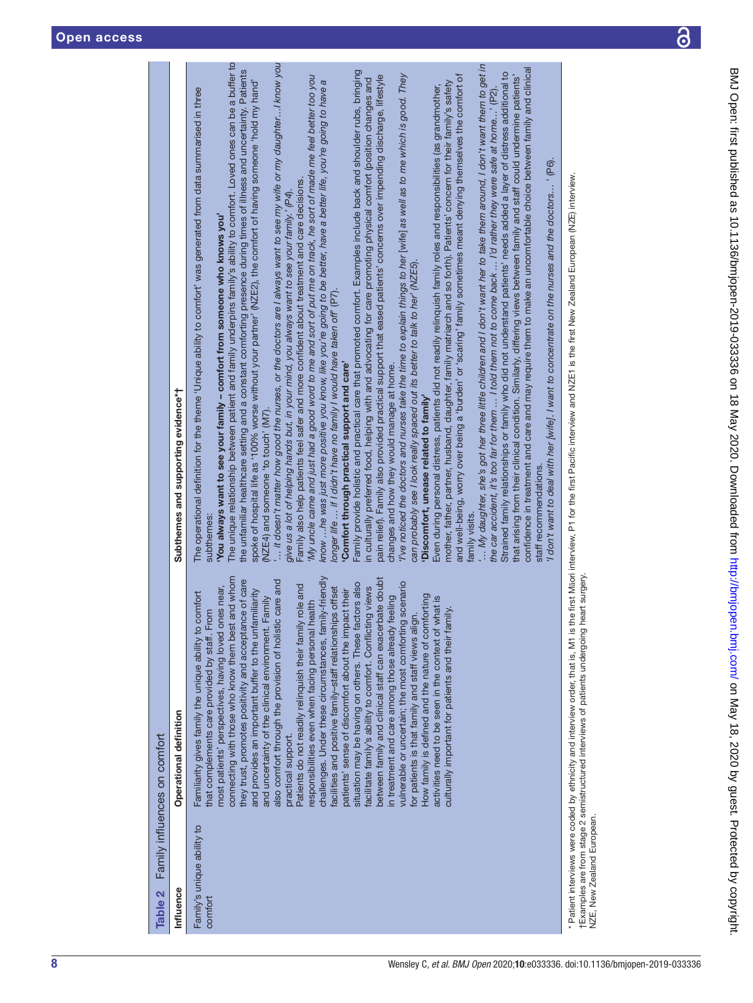| Family's unique ability to<br>comfort | comfort<br>hat complements care provided by staff. From<br>Familiarity gives family the unique ability to                                                                                                                                                                              | The operational definition for the theme 'Unique ability to comfort' was generated from data summarised in three<br>subthemes:                                                                                                                                                                                                                                                                                                                                                           |
|---------------------------------------|----------------------------------------------------------------------------------------------------------------------------------------------------------------------------------------------------------------------------------------------------------------------------------------|------------------------------------------------------------------------------------------------------------------------------------------------------------------------------------------------------------------------------------------------------------------------------------------------------------------------------------------------------------------------------------------------------------------------------------------------------------------------------------------|
|                                       | connecting with those who know them best and whom<br>they trust, promotes positivity and acceptance of care<br>most patients' perspectives, having loved ones near,<br>and provides an important buffer to the unfamiliarity<br>Family<br>and uncertainty of the clinical environment. | The unique relationship between patient and family underpins family's ability to comfort. Loved ones can be a buffer to<br>the unfamiliar healthcare setting and a constant comforting presence during times of illness and uncertainty. Patients<br>spoke of hospital life as '100% worse without your partner' (NZE2), the comfort of having someone 'hold my hand'<br>You always want to see your family – comfort from someone who knows you'<br>(NZE4) and someone 'to touch' (M7). |
|                                       | ic care and<br>Patients do not readily relinquish their family role and<br>also comfort through the provision of holist<br>practical support.                                                                                                                                          | $\ldots$ it doesn't matter how good the nurses, or the doctors are I always want to see my wife or my daughterI know you<br>Family also help patients feel safer and more confident about treatment and care decisions.<br>give us a lot of helping hands but, in your mind, you always want to see your family.' (P4).                                                                                                                                                                  |
|                                       | challenges. Under these circumstances, family-friendly<br>facilities and positive family-staff relationships offset<br>health<br>responsibilities even when facing personal                                                                                                            | 'My uncle came and just had a good word to me and sort of put me on track, he sort of made me feel better too you<br>know …he was just more positive you know, like you're going to be better, have a better life, you're going to have a<br>longer life  if I didn't have no family I would have taken off (P7).                                                                                                                                                                        |
|                                       | between family and clinical staff can exacerbate doubt<br>situation may be having on others. These factors also<br>facilitate family's ability to comfort. Conflicting views<br>patients' sense of discomfort about the impact their                                                   | Family provide holistic and practical care that promoted comfort. Examples include back and shoulder rubs, bringing<br>pain relief). Family also provided practical support that eased patients' concerns over impending discharge, lifestyle<br>in culturally preferred food, helping with and advocating for care promoting physical comfort (position changes and<br>'Comfort through practical support and care'                                                                     |
|                                       | vulnerable or uncertain; the most comforting scenario<br>How family is defined and the nature of comforting<br>in treatment and care among those already feeling<br>for patients is that family and staff views align.                                                                 | I've noticed the doctors and nurses take the time to explain things to her [wife] as well as to me which is good. They<br>can probably see I look really spaced out its better to talk to her' (NZE5).<br>changes and how they would manage at home.<br>'Discomfort, unease related to family'                                                                                                                                                                                           |
|                                       | activities need to be seen in the context of what is<br>amily.<br>culturally important for patients and their fa                                                                                                                                                                       | and well-being, worry over being a 'burden' or 'scaring' family sometimes meant denying themselves the comfort of<br>mother, father, partner, husband, daughter, family matriarch and so forth). Patients' concern for their family's safety<br>Even during personal distress, patients did not readily relinquish family roles and responsibilities (as grandmother,<br>family visits.                                                                                                  |
|                                       |                                                                                                                                                                                                                                                                                        | $\ldots$ My daughter, she's got her three little children and I don't want her to take them around, I don't want them to get in<br>Strained family relationships or family who did not understand patients' needs added a layer of distress additional to<br>the car accident, it's too far for them $\ldots$ I told them not to come back $\ldots$ I'd rather they were safe at home' (P2).                                                                                             |
|                                       |                                                                                                                                                                                                                                                                                        | confidence in treatment and care and may require them to make an uncomfortable choice between family and clinical<br>that arising from their clinical condition. Similarly, differing views between family and staff could undermine patients'<br>I don't want to deal with her [wife]. I want to concentrate on the nurses and the doctors' (P6).<br>staff recommendations.                                                                                                             |
| NZE, New Zealand European.            | heart surgery.<br>†Examples are from stage 2 semistructured interviews of patients undergoing                                                                                                                                                                                          | * Patient interviews were coded by ethnicity and interview order, that is, M1 is the first Maori interview, P1 for the first Pacific interview and NZE1 is the first New Zealand European (NZE) interview.                                                                                                                                                                                                                                                                               |
|                                       |                                                                                                                                                                                                                                                                                        |                                                                                                                                                                                                                                                                                                                                                                                                                                                                                          |

Table 2 Family influences on comfort

Family influences on comfort

Influence Operational definition Subthemes and supporting evidence\*†

Operational definition

<span id="page-7-0"></span>Influence Table 2

Subthemes and supporting evidence\*†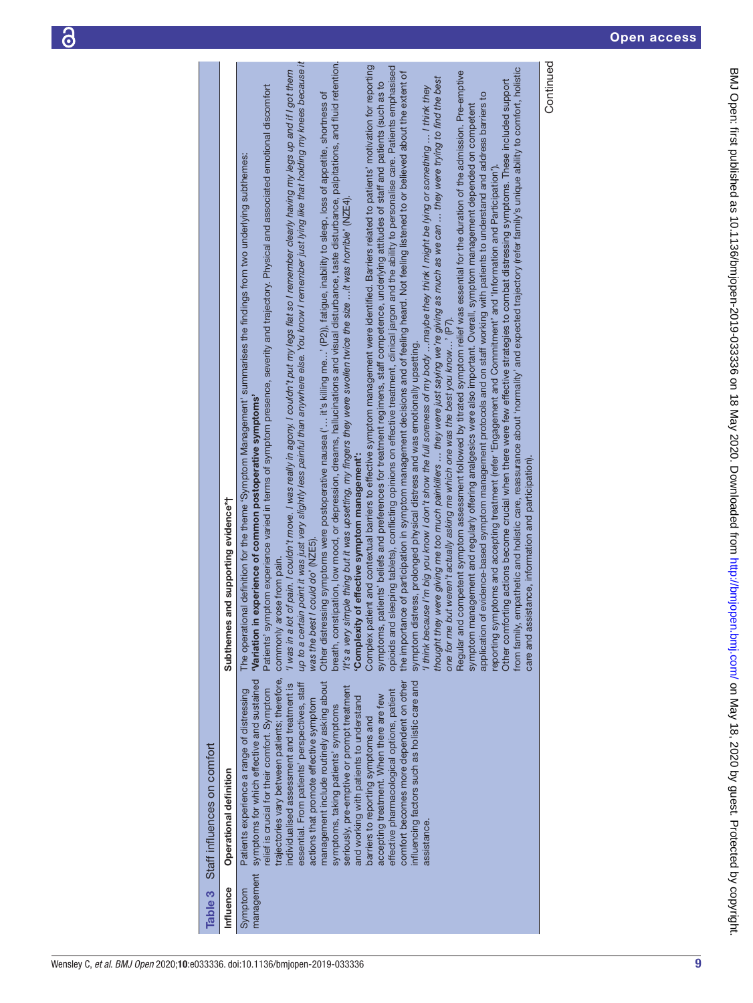| Table 3               | Staff influences on comfort                                                                                                                                                                                                                                                                                                                                                                                                                                                                                                                                                                                                                                                                                                                                |                                                                                                                                                                                                                                                                                                                                                                                                                                                                                                                                                                                                                                                                                                                                                                                                                                                                                                                                                                                                                                                                                                                                                                                                                                                                                                                                                                                                                                                                                                                                                                                                                                                                                                                                                                                                                                                                                                                                                                                                                                                                                                                                                                                                                                                                                                                                                                                                                                                                                                                                                                                                                                                                                                                                                                                                                                                                                                                                                                                                                                                                                                                                                                                                     |
|-----------------------|------------------------------------------------------------------------------------------------------------------------------------------------------------------------------------------------------------------------------------------------------------------------------------------------------------------------------------------------------------------------------------------------------------------------------------------------------------------------------------------------------------------------------------------------------------------------------------------------------------------------------------------------------------------------------------------------------------------------------------------------------------|-----------------------------------------------------------------------------------------------------------------------------------------------------------------------------------------------------------------------------------------------------------------------------------------------------------------------------------------------------------------------------------------------------------------------------------------------------------------------------------------------------------------------------------------------------------------------------------------------------------------------------------------------------------------------------------------------------------------------------------------------------------------------------------------------------------------------------------------------------------------------------------------------------------------------------------------------------------------------------------------------------------------------------------------------------------------------------------------------------------------------------------------------------------------------------------------------------------------------------------------------------------------------------------------------------------------------------------------------------------------------------------------------------------------------------------------------------------------------------------------------------------------------------------------------------------------------------------------------------------------------------------------------------------------------------------------------------------------------------------------------------------------------------------------------------------------------------------------------------------------------------------------------------------------------------------------------------------------------------------------------------------------------------------------------------------------------------------------------------------------------------------------------------------------------------------------------------------------------------------------------------------------------------------------------------------------------------------------------------------------------------------------------------------------------------------------------------------------------------------------------------------------------------------------------------------------------------------------------------------------------------------------------------------------------------------------------------------------------------------------------------------------------------------------------------------------------------------------------------------------------------------------------------------------------------------------------------------------------------------------------------------------------------------------------------------------------------------------------------------------------------------------------------------------------------------------------------|
| Influence             | Operational definition                                                                                                                                                                                                                                                                                                                                                                                                                                                                                                                                                                                                                                                                                                                                     | Subthemes and supporting evidence*†                                                                                                                                                                                                                                                                                                                                                                                                                                                                                                                                                                                                                                                                                                                                                                                                                                                                                                                                                                                                                                                                                                                                                                                                                                                                                                                                                                                                                                                                                                                                                                                                                                                                                                                                                                                                                                                                                                                                                                                                                                                                                                                                                                                                                                                                                                                                                                                                                                                                                                                                                                                                                                                                                                                                                                                                                                                                                                                                                                                                                                                                                                                                                                 |
| management<br>Symptom | trajectories vary between patients; therefore,<br>symptoms for which effective and sustained<br>influencing factors such as holistic care and<br>management include routinely asking about<br>comfort becomes more dependent on other<br>essential. From patients' perspectives, staff<br>individualised assessment and treatment is<br>seriously, pre-emptive or prompt treatment<br>relief is crucial for their comfort. Symptom<br>Patients experience a range of distressing<br>effective pharmacological options, patient<br>accepting treatment. When there are few<br>and working with patients to understand<br>actions that promote effective symptom<br>symptoms, taking patients' symptoms<br>barriers to reporting symptoms and<br>assistance. | up to a certain point it was just very slightly less painful than anywhere else. You know I remember just lying like that holding my knees because it<br>breath, constipation, low mood, or depression, dreams, hallucinations and visual disturbance, taste disturbance, palpitations, and fluid retention.<br>Continued<br>Complex patient and contextual barriers to effective symptom management were identified. Barriers related to patients' motivation for reporting<br>opioids and sleeping tablets), conflicting opinions on effective treatment, clinical jargon and the ability to personalise care. Patients emphasised<br>from family, empathetic and holistic care, reassurance about 'normality' and expected trajectory (refer family's unique ability to comfort, holistic<br>'I was in a lot of pain. I couldn't move. I was really in agony. I couldn't put my legs flat so I remember clearly having my legs up and if I got them<br>Regular and competent symptom assessment followed by titrated symptom relief was essential for the duration of the admission. Pre-emptive<br>the importance of participation in symptom management decisions and of feeling heard. Not feeling listened to or believed about the extent of<br>thought they were giving me too much painkillers  they were just saying we're giving as much as we can  they were trying to find the best<br>Other comforting actions become crucial when there were few effective strategies to combat distressing symptoms. These included support<br>symptoms, patients' beliefs and preferences for treatment regimens, staff competence, underlying attitudes of staff and patients (such as to<br>Patients' symptom experience varied in terms of symptom presence, severity and trajectory. Physical and associated emotional discomfort<br>I think because I'm big you know I don't show the full soreness of my body …maybe they think I might be lying or something … I think they<br>Other distressing symptoms were postoperative nausea ('… it's killing me…' (P2)), fatigue, inability to sleep, loss of appetite, shortness of<br>evidence-based symptom management protocols and on staff working with patients to understand and address barriers to<br>symptom management and regularly offering analgesics were also important. Overall, symptom management depended on competent<br>al definition for the theme 'Symptom Management' summarises the findings from two underlying subthemes:<br>reporting symptoms and accepting treatment (refer 'Engagement and Commitment' and 'Information and Participation')<br>It's a very simple thing but it was upsetting, my fingers they were swollen twice the size it was horrible' (NZE4)<br>one for me but weren't actually asking me which one was the best you know ' (P7).<br>symptom distress, prolonged physical distress and was emotionally upsetting.<br>"Variation in experience of common postoperative symptoms"<br>'Complexity of effective symptom management':<br>care and assistance, information and participation).<br>could do' (NZE5)<br>commonly arose from pain.<br>The operation<br>was the best<br>application of |
|                       |                                                                                                                                                                                                                                                                                                                                                                                                                                                                                                                                                                                                                                                                                                                                                            |                                                                                                                                                                                                                                                                                                                                                                                                                                                                                                                                                                                                                                                                                                                                                                                                                                                                                                                                                                                                                                                                                                                                                                                                                                                                                                                                                                                                                                                                                                                                                                                                                                                                                                                                                                                                                                                                                                                                                                                                                                                                                                                                                                                                                                                                                                                                                                                                                                                                                                                                                                                                                                                                                                                                                                                                                                                                                                                                                                                                                                                                                                                                                                                                     |

<span id="page-8-0"></span>9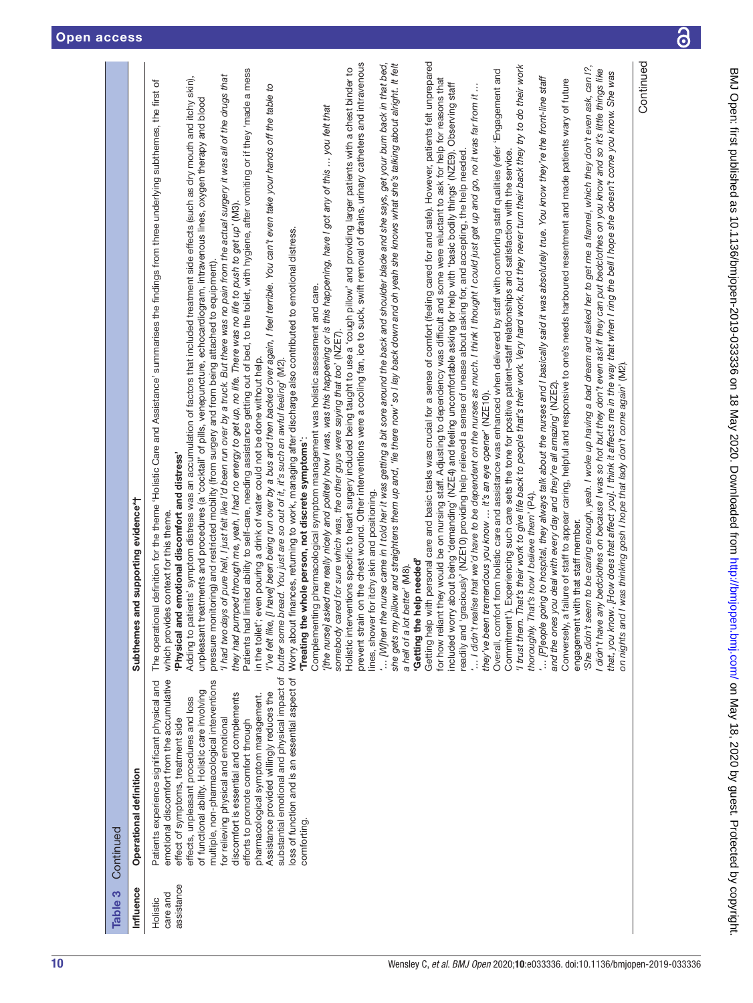| $\ddot{\ddot{\phantom{}}\,}$ |
|------------------------------|
|                              |
|                              |
|                              |
|                              |
|                              |
|                              |
|                              |
|                              |
|                              |
|                              |
|                              |
| ׇ֚֓֡                         |
| <b>.</b>                     |
|                              |
|                              |
| )<br>)<br>)                  |
|                              |
|                              |
|                              |
|                              |
| ≥<br>><br>><br>>             |
|                              |
|                              |
|                              |
| י טטט<br>כ                   |
|                              |
|                              |
| J                            |
|                              |
|                              |
|                              |
|                              |
|                              |
|                              |
|                              |
|                              |
|                              |
|                              |
|                              |
| <u>הקדוקרי ה</u>             |
|                              |
|                              |
| <b>Contraction</b>           |
|                              |
|                              |
|                              |
|                              |
|                              |
|                              |
|                              |
| I                            |
|                              |
| į                            |
|                              |
| l                            |
|                              |
|                              |
|                              |
|                              |
|                              |
|                              |
|                              |
|                              |
|                              |
|                              |

| Table 3                            | Continued                                                                                                                                                                                                                                                                                                                                                                                                                                                                                                                                                                                                  |                                                                                                                                                                                                                                                                                                                                                                                                                                                                                                                                                                                                                                                                                                                                                                                                                                                                                                                                                                                                                                                                                                                                                                                                                                                                                                                                                                                                                                                                                                                                                                                                                                                                                                                                                                                                                                                                                                                                                                                                                                                                                                                                                                                                                                                                                                                                                                                                                                                                                                                                                                                                                                                                                                                                                                                                                                                                                                                                                                                                                                                                                                                                                                                                                                                                                                                                                                                                                                                                                                                                                                                                                                                                                                                                                                                                                                                                                                                                                                                                                                                                                                                                                                                                                                                                                                                                                                                                                                                                                                                                                                                                                                                                                                                                                                                                                                                                                                                                                       |
|------------------------------------|------------------------------------------------------------------------------------------------------------------------------------------------------------------------------------------------------------------------------------------------------------------------------------------------------------------------------------------------------------------------------------------------------------------------------------------------------------------------------------------------------------------------------------------------------------------------------------------------------------|-------------------------------------------------------------------------------------------------------------------------------------------------------------------------------------------------------------------------------------------------------------------------------------------------------------------------------------------------------------------------------------------------------------------------------------------------------------------------------------------------------------------------------------------------------------------------------------------------------------------------------------------------------------------------------------------------------------------------------------------------------------------------------------------------------------------------------------------------------------------------------------------------------------------------------------------------------------------------------------------------------------------------------------------------------------------------------------------------------------------------------------------------------------------------------------------------------------------------------------------------------------------------------------------------------------------------------------------------------------------------------------------------------------------------------------------------------------------------------------------------------------------------------------------------------------------------------------------------------------------------------------------------------------------------------------------------------------------------------------------------------------------------------------------------------------------------------------------------------------------------------------------------------------------------------------------------------------------------------------------------------------------------------------------------------------------------------------------------------------------------------------------------------------------------------------------------------------------------------------------------------------------------------------------------------------------------------------------------------------------------------------------------------------------------------------------------------------------------------------------------------------------------------------------------------------------------------------------------------------------------------------------------------------------------------------------------------------------------------------------------------------------------------------------------------------------------------------------------------------------------------------------------------------------------------------------------------------------------------------------------------------------------------------------------------------------------------------------------------------------------------------------------------------------------------------------------------------------------------------------------------------------------------------------------------------------------------------------------------------------------------------------------------------------------------------------------------------------------------------------------------------------------------------------------------------------------------------------------------------------------------------------------------------------------------------------------------------------------------------------------------------------------------------------------------------------------------------------------------------------------------------------------------------------------------------------------------------------------------------------------------------------------------------------------------------------------------------------------------------------------------------------------------------------------------------------------------------------------------------------------------------------------------------------------------------------------------------------------------------------------------------------------------------------------------------------------------------------------------------------------------------------------------------------------------------------------------------------------------------------------------------------------------------------------------------------------------------------------------------------------------------------------------------------------------------------------------------------------------------------------------------------------------------------------------------------------------|
| Influence                          | Operational definition                                                                                                                                                                                                                                                                                                                                                                                                                                                                                                                                                                                     | and supporting evidence*†<br>Subthemes                                                                                                                                                                                                                                                                                                                                                                                                                                                                                                                                                                                                                                                                                                                                                                                                                                                                                                                                                                                                                                                                                                                                                                                                                                                                                                                                                                                                                                                                                                                                                                                                                                                                                                                                                                                                                                                                                                                                                                                                                                                                                                                                                                                                                                                                                                                                                                                                                                                                                                                                                                                                                                                                                                                                                                                                                                                                                                                                                                                                                                                                                                                                                                                                                                                                                                                                                                                                                                                                                                                                                                                                                                                                                                                                                                                                                                                                                                                                                                                                                                                                                                                                                                                                                                                                                                                                                                                                                                                                                                                                                                                                                                                                                                                                                                                                                                                                                                                |
| assistance<br>care and<br>Holistic | substantial emotional and physical impact of<br>loss of function and is an essential aspect of<br>emotional discomfort from the accumulative<br>multiple, non-pharmacological interventions<br>Patients experience significant physical and<br>of functional ability. Holistic care involving<br>Assistance provided willingly reduces the<br>discomfort is essential and complements<br>pharmacological symptom management.<br>effects, unpleasant procedures and loss<br>for relieving physical and emotional<br>effect of symptoms, treatment side<br>efforts to promote comfort through<br>comforting. | Getting help with personal care and basic tasks was crucial for a sense of comfort (feeling cared for and safe). However, patients felt unprepared<br>prevent strain on the chest wound. Other interventions were a cooling fan, ice to suck, swift removal of drains, urinary catheters and intravenous<br>Continued<br>pillow and straightens them up and, 'lie there now' so I lay back down and oh yeah she knows what she's talking about alright. It felt<br>[M]hen the nurse came in I told her it was getting a bit sore around the back and shoulder blade and she says, get your bum back in that bed,<br>'She didn't seem to be caring enough, yeah. I woke up having a bad dream and asked her to get me a flannel, which they don't even ask, can 1?,<br>'I trust them. That's their work to give life back to people that's their work. Very hard work, but they never turn their back they try to do their work<br>Holistic interventions specific to heart surgery included being taught to use a 'cough pillow' and providing larger patients with a chest binder to<br>I didn't have any bedclothes on because I was so hot but they don't even ask if they can put bedclothes on you know and so it's little things like<br>Patients had limited ability to self-care, needing assistance getting out of bed, to the toilet, with hygiene, after vomiting or if they 'made a mess<br>Overall, comfort from holistic care and assistance was enhanced when delivered by staff with comforting staff qualities (refer 'Engagement and<br>that, you know. [How does that affect you]. I think it affects me in the way that when I ring the bell I hope she doesn't come you know. She was<br>'I had two days of pure hell, I just felt like I'd been run over by a truck. But there was no pain from the actual surgery it was all of the drugs that<br>[P]eople going to hospital, they always talk about the nurses and I basically said it was absolutely true. You know they're the front-line staff<br>Adding to patients' symptom distress was an accumulation of factors that included treatment side effects (such as dry mouth and itchy skin),<br>for how reliant they would be on nursing staff. Adjusting to dependency was difficult and some were reluctant to ask for help for reasons that<br>a failure of staff to appear caring, helpful and responsive to one's needs harboured resentment and made patients wary of future<br>The operational definition for the theme 'Holistic Care and Assistance' summarises the findings from three underlying subthemes, the first of<br>included worry about being 'demanding' (NZE4) and feeling uncomfortable asking for help with 'basic bodily things' (NZE9). Observing staff<br>[I have] been being run over by a bus and then backed over again, I feel terrible. You can't even take your hands off the table to<br>' I didn't realise that we'd have to be dependent on the nurses as much. I think I thought I could just get up and go, no it was far from it<br>unpleasant treatments and procedures (a 'cocktail' of pills, venepuncture, echocardiogram, intravenous lines, oxygen therapy and blood<br>[the nurse] asked me really nicely and politely how I was, was this happening or is this happening, have I got any of this  you felt that<br>graciously' (NZE10) providing help relieved a sense of unease about asking for, and accepting, the help needed.<br>Commitment'). Experiencing such care sets the tone for positive patient-staff relationships and satisfaction with the service<br>they had pumped through me, yeah, I had no energy to get up, no life. There was no life to push to get up' (M3).<br>finances, returning to work, managing after discharge also contributed to emotional distress.<br>pressure monitoring) and restricted mobility (from surgery and from being attached to equipment).<br>Complementing pharmacological symptom management was holistic assessment and care.<br>somebody cared for sure which was, the other guys were saying that too' (NZE7).<br>even pouring a drink of water could not be done without help.<br>bread. You just are so out of it, it's such an awful feeling' (M2).<br>on nights and I was thinking gosh I hope that lady don't come again' (M2).<br>and the ones you deal with every day and they're all amazing' (NZE2).<br>they've been tremendous you know  it's an eye opener' (NZE10).<br>'Treating the whole person, not discrete symptoms':<br>'Physical and emotional discomfort and distress'<br>lines, shower for itchy skin and positioning.<br>That's how I believe them' (P4).<br>which provides context for this theme.<br>engagement with that staff member.<br>'Getting the help needed'<br>a hell of a lot better' (M8).<br>in the toilet';<br>'I've felt like,<br>butter some<br>Worry about<br>she gets my<br>eadily and<br><br>Conversely,<br>thoroughly. |
|                                    |                                                                                                                                                                                                                                                                                                                                                                                                                                                                                                                                                                                                            |                                                                                                                                                                                                                                                                                                                                                                                                                                                                                                                                                                                                                                                                                                                                                                                                                                                                                                                                                                                                                                                                                                                                                                                                                                                                                                                                                                                                                                                                                                                                                                                                                                                                                                                                                                                                                                                                                                                                                                                                                                                                                                                                                                                                                                                                                                                                                                                                                                                                                                                                                                                                                                                                                                                                                                                                                                                                                                                                                                                                                                                                                                                                                                                                                                                                                                                                                                                                                                                                                                                                                                                                                                                                                                                                                                                                                                                                                                                                                                                                                                                                                                                                                                                                                                                                                                                                                                                                                                                                                                                                                                                                                                                                                                                                                                                                                                                                                                                                                       |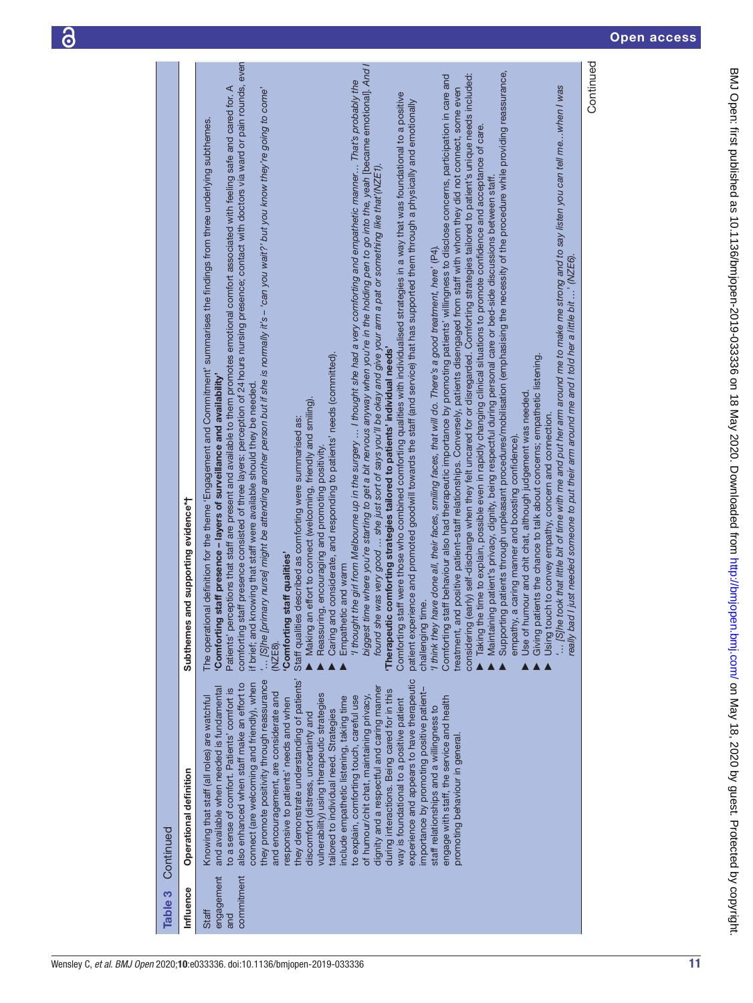ခြ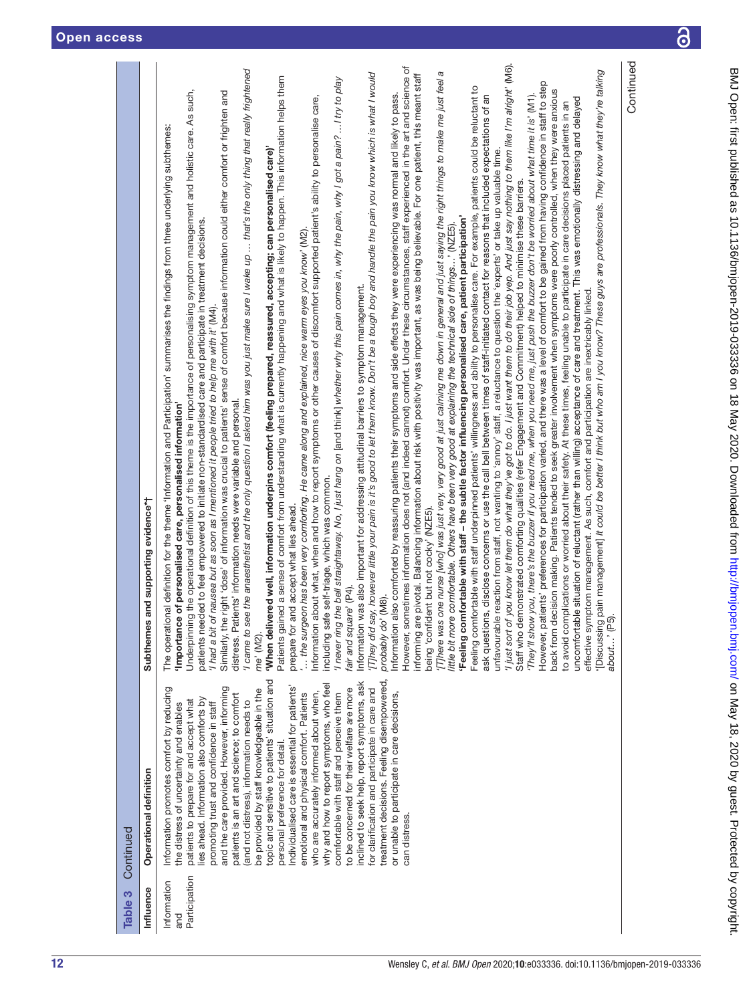| Table 3                             | Continued                                                                                                                                                                                                                                                                                                                                                                                                                                                                                                                                                                                                                                                                                                                                                                                                                                                                                                                                                                                 |                                                                                                                                                                                                                                                                                                                                                                                                                                                                                                                                                                                                                                                                                                                                                                                                                                                                                                                                                                                                                                                                                                                                                                                                                                                                                                                                                                                                                                                                                                                                                                                                                                                                                                                                                                                                                                                                                                                                                                                                                                                                                                                                                                                                                                                                                                                                                                                                                                                                                                                                                                                                                                                                                                                                                                                                                                                                                                                                                                                                                                                                                                                                                                                                                                                                                                                                                                                                                                                                                                                                                                                                                                                                                                                                                                                                                                                                                                                                                                                                                                                                                                                                                                                                                                                                                                                                                                                                                                                                                                                                                                                                                                                 |
|-------------------------------------|-------------------------------------------------------------------------------------------------------------------------------------------------------------------------------------------------------------------------------------------------------------------------------------------------------------------------------------------------------------------------------------------------------------------------------------------------------------------------------------------------------------------------------------------------------------------------------------------------------------------------------------------------------------------------------------------------------------------------------------------------------------------------------------------------------------------------------------------------------------------------------------------------------------------------------------------------------------------------------------------|-------------------------------------------------------------------------------------------------------------------------------------------------------------------------------------------------------------------------------------------------------------------------------------------------------------------------------------------------------------------------------------------------------------------------------------------------------------------------------------------------------------------------------------------------------------------------------------------------------------------------------------------------------------------------------------------------------------------------------------------------------------------------------------------------------------------------------------------------------------------------------------------------------------------------------------------------------------------------------------------------------------------------------------------------------------------------------------------------------------------------------------------------------------------------------------------------------------------------------------------------------------------------------------------------------------------------------------------------------------------------------------------------------------------------------------------------------------------------------------------------------------------------------------------------------------------------------------------------------------------------------------------------------------------------------------------------------------------------------------------------------------------------------------------------------------------------------------------------------------------------------------------------------------------------------------------------------------------------------------------------------------------------------------------------------------------------------------------------------------------------------------------------------------------------------------------------------------------------------------------------------------------------------------------------------------------------------------------------------------------------------------------------------------------------------------------------------------------------------------------------------------------------------------------------------------------------------------------------------------------------------------------------------------------------------------------------------------------------------------------------------------------------------------------------------------------------------------------------------------------------------------------------------------------------------------------------------------------------------------------------------------------------------------------------------------------------------------------------------------------------------------------------------------------------------------------------------------------------------------------------------------------------------------------------------------------------------------------------------------------------------------------------------------------------------------------------------------------------------------------------------------------------------------------------------------------------------------------------------------------------------------------------------------------------------------------------------------------------------------------------------------------------------------------------------------------------------------------------------------------------------------------------------------------------------------------------------------------------------------------------------------------------------------------------------------------------------------------------------------------------------------------------------------------------------------------------------------------------------------------------------------------------------------------------------------------------------------------------------------------------------------------------------------------------------------------------------------------------------------------------------------------------------------------------------------------------------------------------------------------------------------------------|
| Influence                           | Operational definition                                                                                                                                                                                                                                                                                                                                                                                                                                                                                                                                                                                                                                                                                                                                                                                                                                                                                                                                                                    | Subthemes and supporting evidence*†                                                                                                                                                                                                                                                                                                                                                                                                                                                                                                                                                                                                                                                                                                                                                                                                                                                                                                                                                                                                                                                                                                                                                                                                                                                                                                                                                                                                                                                                                                                                                                                                                                                                                                                                                                                                                                                                                                                                                                                                                                                                                                                                                                                                                                                                                                                                                                                                                                                                                                                                                                                                                                                                                                                                                                                                                                                                                                                                                                                                                                                                                                                                                                                                                                                                                                                                                                                                                                                                                                                                                                                                                                                                                                                                                                                                                                                                                                                                                                                                                                                                                                                                                                                                                                                                                                                                                                                                                                                                                                                                                                                                             |
| Participation<br>Information<br>and | topic and sensitive to patients' situation and<br>inclined to seek help, report symptoms, ask<br>treatment decisions. Feeling disempowered<br>why and how to report symptoms, who feel<br>and the care provided. However, informing<br>Information promotes comfort by reducing<br>Individualised care is essential for patients<br>to be concerned for their welfare are more<br>for clarification and participate in care and<br>be provided by staff knowledgeable in the<br>who are accurately informed about when,<br>patients is an art and science; to comfort<br>comfortable with staff and perceive them<br>emotional and physical comfort. Patients<br>or unable to participate in care decisions,<br>lies ahead. Information also comforts by<br>patients to prepare for and accept what<br>(and not distress), information needs to<br>the distress of uncertainty and enables<br>promoting trust and confidence in staff<br>personal preference for detail.<br>can distress. | Continued<br>"I just sort of you know let them do what they've got to do. I just want them to do their job yep. And just say nothing to them like I'm alright' (M6).<br>However, sometimes information does not (and indeed cannot) comfort. Under these circumstances, staff experienced in the art and science of<br>ee the anaesthetist and the only question I asked him was you just make sure I wake up  that's the only thing that really frightened<br>'[Discussing pain management] It could be better I think but who am I you know? These guys are professionals. They know what they're talking<br>about…' (P5).<br>[T]here was one nurse [who] was just very, very good at just calming me down in general and just saying the right things to make me just feel a<br>They did say, however little your pain is it's good to let them know. Don't be a tough boy and handle the pain you know which is what I would<br>nforming are pivotal. Balancing information about risk with positivity was important, as was being believable. For one patient, this meant staff<br>Patients gained a sense of comfort from understanding what is currently happening and what is likely to happen. This information helps them<br>I never ring the bell straightaway. No, I just hang on [and think] whether why this pain comes in, why the pain, why I got a pain? I try to play<br>However, patients' preferences for participation varied, and there was a level of comfort to be gained from having confidence in staff to step<br>Feeling comfortable with staff underpinned patients' willingness and ability to personalise care. For example, patients could be reluctant to<br>back from decision making. Patients tended to seek greater involvement when symptoms were poorly controlled, when they were anxious<br>Underpinning the operational definition of this theme is the importance of personalising symptom management and holistic care. As such,<br>Similarly, the right 'dose' of information was crucial to patients' sense of comfort because information could either comfort or frighten and<br>also comforted by reassuring patients their symptoms and side effects they were experiencing was normal and likely to pass.<br>ask questions, disclose concerns or use the call bell between times of staff-initiated contact for reasons that included expectations of an<br>They'll show you, there's the buzzer if you need me, when you need me, just push the buzzer don't be worried about what time it is' (M1).<br>about what, when and how to report symptoms or other causes of discomfort supported patient's ability to personalise care,<br>uncomfortable situation of reluctant (rather than willing) acceptance of care and treatment. This was emotionally distressing and delayed<br>to avoid complications or worried about their safety. At these times, feeling unable to participate in care decisions placed patients in an<br>ional definition for the theme 'Information and Participation' summarises the findings from three underlying subthemes:<br>When delivered well, information underpins comfort (feeling prepared, reassured, accepting; can personalised care)'<br>unfavourable reaction from staff, not wanting to 'annoy' staff, a reluctance to question the 'experts' or take up valuable time.<br>Staff who demonstrated comforting qualities (refer Engagement and Commitment) helped to minimise these barriers.<br>Feeling comfortable with staff - the subtle factor influencing personalised care, patient participation'<br>patients needed to feel empowered to initiate non-standardised care and participate in treatment decisions.<br>little bit more comfortable. Others have been very good at explaining the technical side of things' (NZE5).<br>$\ldots$ the surgeon has been very comforting. He came along and explained, nice warm eyes you know' (M2).<br>Information was also important for addressing attitudinal barriers to symptom management.<br>effective symptom management. As such, comfort and participation are inextricably linked.<br>I had a bit of nausea but as soon as I mentioned it people tried to help me with it' (M4).<br>distress. Patients' information needs were variable and personal.<br>'Importance of personalised care, personalised information'<br>including safe self-triage, which was common.<br>prepare for and accept what lies ahead.<br>being 'confident but not cocky' (NZE5).<br>fair and square' (P4).<br>probably do' (M8).<br>1 came to s<br>Information<br>Information<br>The operat<br>me' (M2). |
|                                     |                                                                                                                                                                                                                                                                                                                                                                                                                                                                                                                                                                                                                                                                                                                                                                                                                                                                                                                                                                                           |                                                                                                                                                                                                                                                                                                                                                                                                                                                                                                                                                                                                                                                                                                                                                                                                                                                                                                                                                                                                                                                                                                                                                                                                                                                                                                                                                                                                                                                                                                                                                                                                                                                                                                                                                                                                                                                                                                                                                                                                                                                                                                                                                                                                                                                                                                                                                                                                                                                                                                                                                                                                                                                                                                                                                                                                                                                                                                                                                                                                                                                                                                                                                                                                                                                                                                                                                                                                                                                                                                                                                                                                                                                                                                                                                                                                                                                                                                                                                                                                                                                                                                                                                                                                                                                                                                                                                                                                                                                                                                                                                                                                                                                 |

 $\overline{\partial}$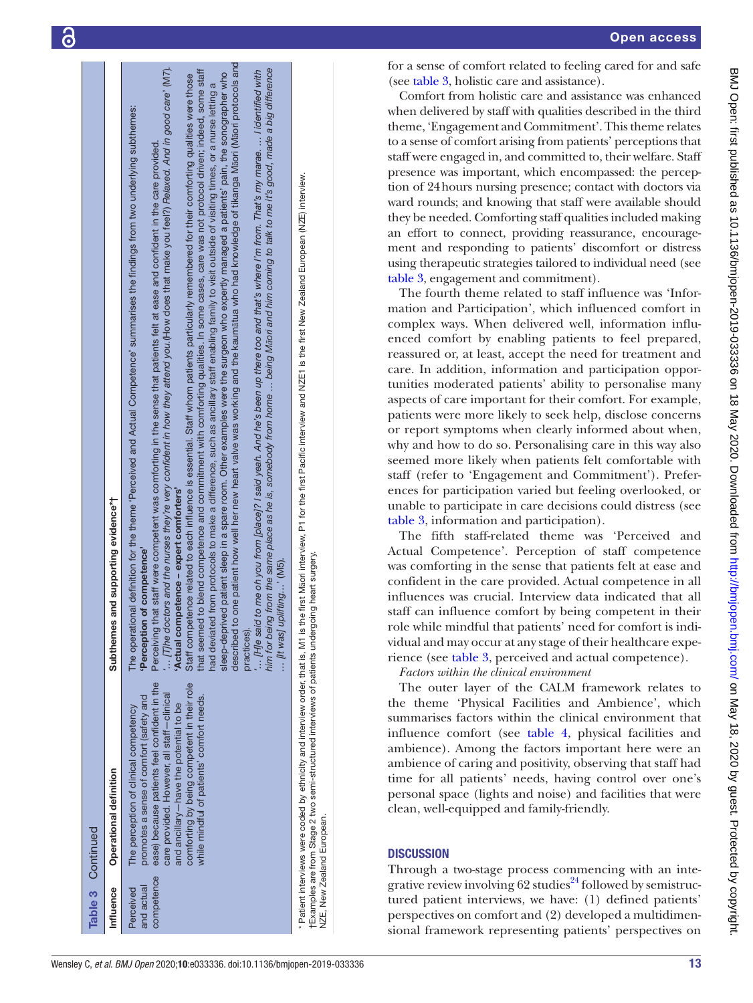|                                       | Table 3 Continued                                                                                                                                                                                                                                                                                                    |                                                                                                                                                                                                                                                                                                                                                                                                                                                                                                                                                                                                                                                                                                                                                                                                                                                                                                                                                                                                                                                                                                                                                                                                                                                                                                                                                                                                                                                                                                                                                                                                     |
|---------------------------------------|----------------------------------------------------------------------------------------------------------------------------------------------------------------------------------------------------------------------------------------------------------------------------------------------------------------------|-----------------------------------------------------------------------------------------------------------------------------------------------------------------------------------------------------------------------------------------------------------------------------------------------------------------------------------------------------------------------------------------------------------------------------------------------------------------------------------------------------------------------------------------------------------------------------------------------------------------------------------------------------------------------------------------------------------------------------------------------------------------------------------------------------------------------------------------------------------------------------------------------------------------------------------------------------------------------------------------------------------------------------------------------------------------------------------------------------------------------------------------------------------------------------------------------------------------------------------------------------------------------------------------------------------------------------------------------------------------------------------------------------------------------------------------------------------------------------------------------------------------------------------------------------------------------------------------------------|
| Influence                             | Operational definition                                                                                                                                                                                                                                                                                               | Subthemes and supporting evidence*†                                                                                                                                                                                                                                                                                                                                                                                                                                                                                                                                                                                                                                                                                                                                                                                                                                                                                                                                                                                                                                                                                                                                                                                                                                                                                                                                                                                                                                                                                                                                                                 |
| competence<br>and actual<br>Perceived | ease) because patients feel confident in the<br>comforting by being competent in their role<br>care provided. However, all staff-clinical<br>promotes a sense of comfort (safety and<br>while mindful of patients' comfort needs.<br>and ancillary-have the potential to be<br>The perception of clinical competency | one patient how well her new heart valve was working and the kaumatua who had knowledge of tikanga Maori (Maori protocols and<br>$$ [T]he doctors and the nurses they're very confident in how they attend you.(How does that make you feel?) Relaxed. And in good care' (M7).<br>him for being from the same place as he is, somebody from home … being Maori and him coming to talk to me it's good, made a big difference<br>to blend competence and commitment with comforting qualities. In some cases, care was not protocol driven; indeed, some staff<br>to me oh you from [place]? I said yeah. And he's been up there too and that's where I'm from. That's my marae.  I identified with<br>sleep-deprived patient sleep in a spare room. Other examples were the surgeon who expertly managed a patients' pain, the sonographer who<br>Staff competence related to each influence is essential. Staff whom patients particularly remembered for their comforting qualities were those<br>had deviated from protocols to make a difference, such as ancillary staff enabling family to visit outside of visiting times, or a nurse letting a<br>The operational definition for the theme 'Perceived and Actual Competence' summarises the findings from two underlying subthemes:<br>rat staff were competent was comforting in the sense that patients felt at ease and confident in the care provided.<br>'Actual competence - expert comforters'<br>Perception of competence'<br>[It was] uplifting' (M5).<br>Perceiving th<br>that seemed<br>described to<br>[H]e said<br>practices). |
|                                       | tExamples are from Stage 2 two semi-structured interviews of patients undergoing heart surgery.<br>NZE, New Zealand European.                                                                                                                                                                                        | * Patient interviews were coded by ethnicity and interview order, that is, M1 is the first Maori interview, P1 for the first Pacific interview and NZE1 is the first New Zealand European (NZE) interview.                                                                                                                                                                                                                                                                                                                                                                                                                                                                                                                                                                                                                                                                                                                                                                                                                                                                                                                                                                                                                                                                                                                                                                                                                                                                                                                                                                                          |

for a sense of comfort related to feeling cared for and safe (see [table](#page-8-0) 3, holistic care and assistance).

Open access

Comfort from holistic care and assistance was enhanced when delivered by staff with qualities described in the third theme, 'Engagement and Commitment'. This theme relates to a sense of comfort arising from patients' perceptions that staff were engaged in, and committed to, their welfare. Staff presence was important, which encompassed: the perception of 24hours nursing presence; contact with doctors via ward rounds; and knowing that staff were available should they be needed. Comforting staff qualities included making an effort to connect, providing reassurance, encouragement and responding to patients' discomfort or distress using therapeutic strategies tailored to individual need (see [table](#page-8-0) 3, engagement and commitment). The fourth theme related to staff influence was 'Information and Participation', which influenced comfort in complex ways. When delivered well, information influ enced comfort by enabling patients to feel prepared, reassured or, at least, accept the need for treatment and care. In addition, information and participation opportunities moderated patients' ability to personalise many aspects of care important for their comfort. For example, patients were more likely to seek help, disclose concerns or report symptoms when clearly informed about when, why and how to do so. Personalising care in this way also seemed more likely when patients felt comfortable with staff (refer to 'Engagement and Commitment'). Preferences for participation varied but feeling overlooked, or unable to participate in care decisions could distress (see [table](#page-8-0) 3, information and participation).

The fifth staff-related theme was 'Perceived and Actual Competence'. Perception of staff competence was comforting in the sense that patients felt at ease and confident in the care provided. Actual competence in all influences was crucial. Interview data indicated that all staff can influence comfort by being competent in their role while mindful that patients' need for comfort is indi vidual and may occur at any stage of their healthcare expe rience (see [table](#page-8-0) 3, perceived and actual competence).

*Factors within the clinical environment*

The outer layer of the CALM framework relates to the theme 'Physical Facilities and Ambience', which summarises factors within the clinical environment that influence comfort (see [table](#page-13-0) 4, physical facilities and ambience). Among the factors important here were an ambience of caring and positivity, observing that staff had time for all patients' needs, having control over one's personal space (lights and noise) and facilities that were clean, well-equipped and family-friendly.

# **DISCUSSION**

Through a two-stage process commencing with an inte grative review involving 62 studies<sup>24</sup> followed by semistructured patient interviews, we have: (1) defined patients' perspectives on comfort and (2) developed a multidimen sional framework representing patients' perspectives on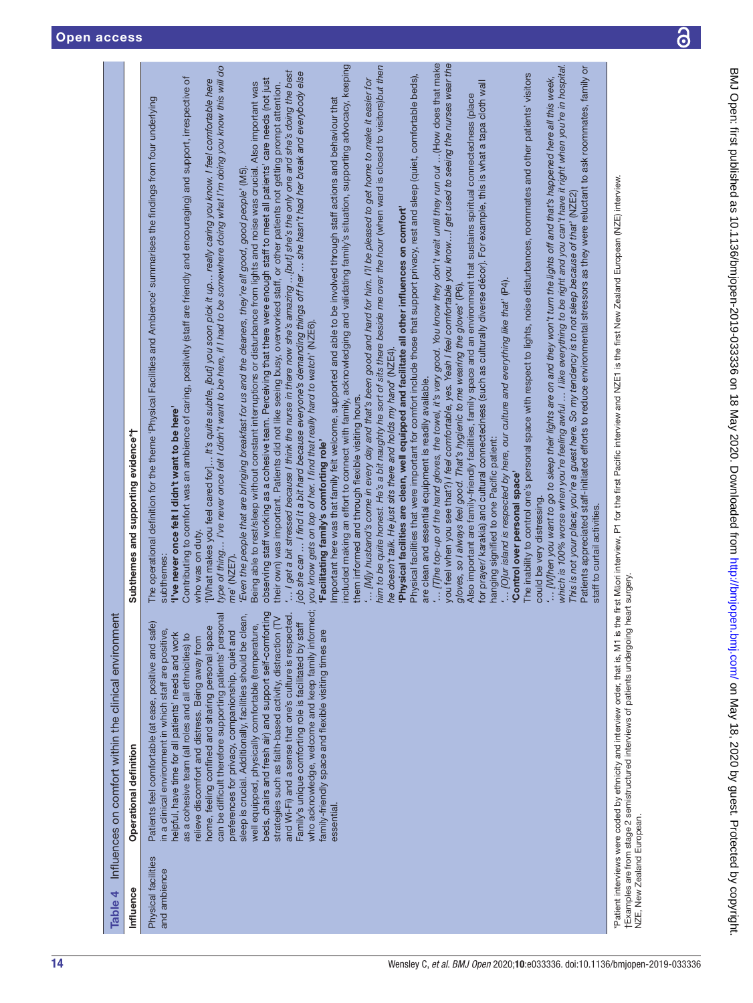<span id="page-13-0"></span>

 $\overline{\partial}$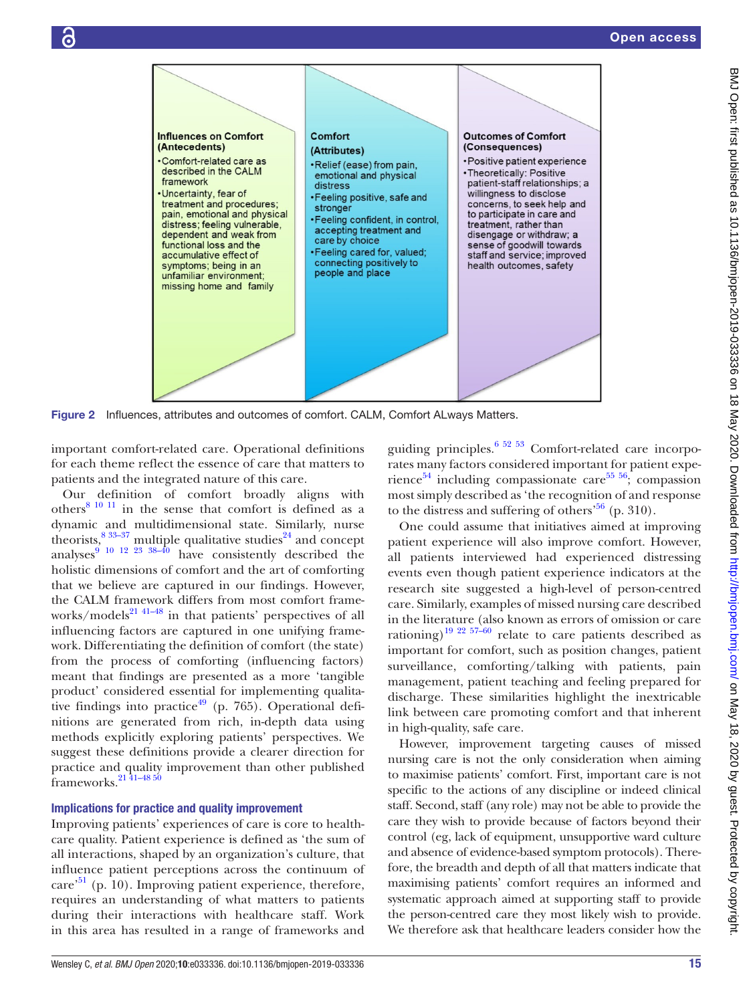

Figure 2 Influences, attributes and outcomes of comfort. CALM, Comfort ALways Matters.

important comfort-related care. Operational definitions for each theme reflect the essence of care that matters to patients and the integrated nature of this care.

Our definition of comfort broadly aligns with others $81011$  in the sense that comfort is defined as a dynamic and multidimensional state. Similarly, nurse theorists,  $8^{33-37}$  multiple qualitative studies<sup>24</sup> and concept analyses $910122338-40$  have consistently described the holistic dimensions of comfort and the art of comforting that we believe are captured in our findings. However, the CALM framework differs from most comfort frame-works/models<sup>[21 41–48](#page-16-19)</sup> in that patients' perspectives of all influencing factors are captured in one unifying framework. Differentiating the definition of comfort (the state) from the process of comforting (influencing factors) meant that findings are presented as a more 'tangible product' considered essential for implementing qualita-tive findings into practice<sup>[49](#page-17-0)</sup> (p. 765). Operational definitions are generated from rich, in-depth data using methods explicitly exploring patients' perspectives. We suggest these definitions provide a clearer direction for practice and quality improvement than other published frameworks[.21 41–48 50](#page-16-19)

### Implications for practice and quality improvement

Improving patients' experiences of care is core to healthcare quality. Patient experience is defined as 'the sum of all interactions, shaped by an organization's culture, that influence patient perceptions across the continuum of  $care<sup>51</sup>$  (p. 10). Improving patient experience, therefore, requires an understanding of what matters to patients during their interactions with healthcare staff. Work in this area has resulted in a range of frameworks and <span id="page-14-0"></span>guiding principles. $65253$  Comfort-related care incorporates many factors considered important for patient expe-rience<sup>[54](#page-17-2)</sup> including compassionate care<sup>[55 56](#page-17-3)</sup>; compassion most simply described as 'the recognition of and response to the distress and suffering of others<sup>56</sup> (p. 310).

One could assume that initiatives aimed at improving patient experience will also improve comfort. However, all patients interviewed had experienced distressing events even though patient experience indicators at the research site suggested a high-level of person-centred care. Similarly, examples of missed nursing care described in the literature (also known as errors of omission or care rationing)<sup>19 22 57-60</sup> relate to care patients described as important for comfort, such as position changes, patient surveillance, comforting/talking with patients, pain management, patient teaching and feeling prepared for discharge. These similarities highlight the inextricable link between care promoting comfort and that inherent in high-quality, safe care.

However, improvement targeting causes of missed nursing care is not the only consideration when aiming to maximise patients' comfort. First, important care is not specific to the actions of any discipline or indeed clinical staff. Second, staff (any role) may not be able to provide the care they wish to provide because of factors beyond their control (eg, lack of equipment, unsupportive ward culture and absence of evidence-based symptom protocols). Therefore, the breadth and depth of all that matters indicate that maximising patients' comfort requires an informed and systematic approach aimed at supporting staff to provide the person-centred care they most likely wish to provide. We therefore ask that healthcare leaders consider how the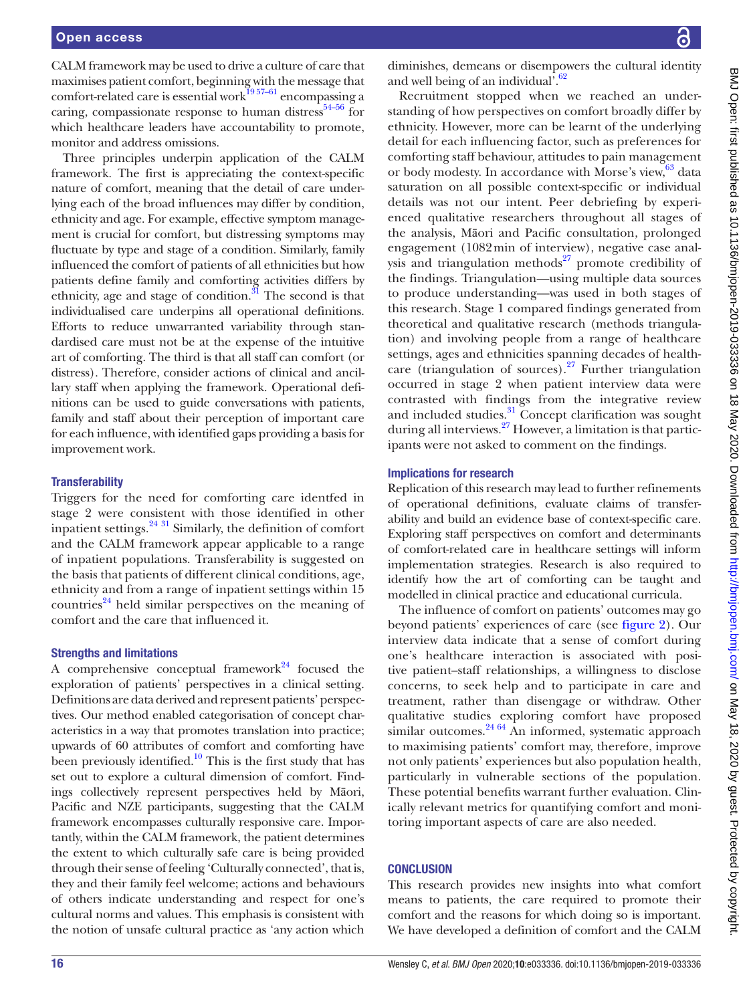CALM framework may be used to drive a culture of care that maximises patient comfort, beginning with the message that comfort-related care is essential work $19\,57-61}$  encompassing a caring, compassionate response to human distress $54-56$  for which healthcare leaders have accountability to promote, monitor and address omissions.

Three principles underpin application of the CALM framework. The first is appreciating the context-specific nature of comfort, meaning that the detail of care underlying each of the broad influences may differ by condition, ethnicity and age. For example, effective symptom management is crucial for comfort, but distressing symptoms may fluctuate by type and stage of a condition. Similarly, family influenced the comfort of patients of all ethnicities but how patients define family and comforting activities differs by ethnicity, age and stage of condition. $31$  The second is that individualised care underpins all operational definitions. Efforts to reduce unwarranted variability through standardised care must not be at the expense of the intuitive art of comforting. The third is that all staff can comfort (or distress). Therefore, consider actions of clinical and ancillary staff when applying the framework. Operational definitions can be used to guide conversations with patients, family and staff about their perception of important care for each influence, with identified gaps providing a basis for improvement work.

### **Transferability**

Triggers for the need for comforting care identfed in stage 2 were consistent with those identified in other inpatient settings.[24](#page-16-9) [31](#page-16-16) Similarly, the definition of comfort and the CALM framework appear applicable to a range of inpatient populations. Transferability is suggested on the basis that patients of different clinical conditions, age, ethnicity and from a range of inpatient settings within 15 countries $^{24}$  held similar perspectives on the meaning of comfort and the care that influenced it.

#### Strengths and limitations

A comprehensive conceptual framework<sup>24</sup> focused the exploration of patients' perspectives in a clinical setting. Definitions are data derived and represent patients' perspectives. Our method enabled categorisation of concept characteristics in a way that promotes translation into practice; upwards of 60 attributes of comfort and comforting have been previously identified. $10$  This is the first study that has set out to explore a cultural dimension of comfort. Findings collectively represent perspectives held by Māori, Pacific and NZE participants, suggesting that the CALM framework encompasses culturally responsive care. Importantly, within the CALM framework, the patient determines the extent to which culturally safe care is being provided through their sense of feeling 'Culturally connected', that is, they and their family feel welcome; actions and behaviours of others indicate understanding and respect for one's cultural norms and values. This emphasis is consistent with the notion of unsafe cultural practice as 'any action which

diminishes, demeans or disempowers the cultural identity and well being of an individual'.<sup>62</sup>

Recruitment stopped when we reached an understanding of how perspectives on comfort broadly differ by ethnicity. However, more can be learnt of the underlying detail for each influencing factor, such as preferences for comforting staff behaviour, attitudes to pain management or body modesty. In accordance with Morse's view, [63](#page-17-6) data saturation on all possible context-specific or individual details was not our intent. Peer debriefing by experienced qualitative researchers throughout all stages of the analysis, Māori and Pacific consultation, prolonged engagement (1082min of interview), negative case analysis and triangulation methods $^{27}$  promote credibility of the findings. Triangulation—using multiple data sources to produce understanding—was used in both stages of this research. Stage 1 compared findings generated from theoretical and qualitative research (methods triangulation) and involving people from a range of healthcare settings, ages and ethnicities spanning decades of healthcare (triangulation of sources). $27$  Further triangulation occurred in stage 2 when patient interview data were contrasted with findings from the integrative review and included studies.<sup>31</sup> Concept clarification was sought during all interviews.[27](#page-16-12) However, a limitation is that participants were not asked to comment on the findings.

#### Implications for research

Replication of this research may lead to further refinements of operational definitions, evaluate claims of transferability and build an evidence base of context-specific care. Exploring staff perspectives on comfort and determinants of comfort-related care in healthcare settings will inform implementation strategies. Research is also required to identify how the art of comforting can be taught and modelled in clinical practice and educational curricula.

The influence of comfort on patients' outcomes may go beyond patients' experiences of care (see [figure](#page-14-0) 2). Our interview data indicate that a sense of comfort during one's healthcare interaction is associated with positive patient–staff relationships, a willingness to disclose concerns, to seek help and to participate in care and treatment, rather than disengage or withdraw. Other qualitative studies exploring comfort have proposed similar outcomes. $^{24.64}$  An informed, systematic approach to maximising patients' comfort may, therefore, improve not only patients' experiences but also population health, particularly in vulnerable sections of the population. These potential benefits warrant further evaluation. Clinically relevant metrics for quantifying comfort and monitoring important aspects of care are also needed.

#### **CONCLUSION**

This research provides new insights into what comfort means to patients, the care required to promote their comfort and the reasons for which doing so is important. We have developed a definition of comfort and the CALM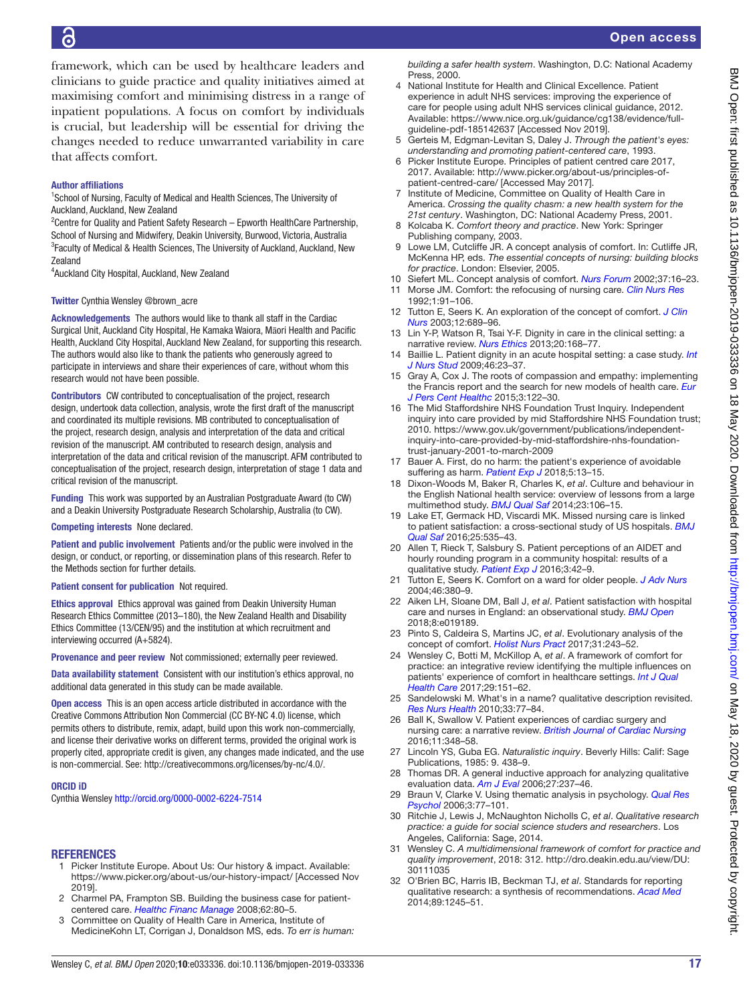framework, which can be used by healthcare leaders and clinicians to guide practice and quality initiatives aimed at maximising comfort and minimising distress in a range of inpatient populations. A focus on comfort by individuals is crucial, but leadership will be essential for driving the changes needed to reduce unwarranted variability in care that affects comfort.

### Author affiliations

<sup>1</sup>School of Nursing, Faculty of Medical and Health Sciences, The University of Auckland, Auckland, New Zealand

<sup>2</sup> Centre for Quality and Patient Safety Research - Epworth Health Care Partnership, School of Nursing and Midwifery, Deakin University, Burwood, Victoria, Australia <sup>3</sup> Faculty of Medical & Health Sciences, The University of Auckland, Auckland, New Zealand

4 Auckland City Hospital, Auckland, New Zealand

#### Twitter Cynthia Wensley [@brown\\_acre](https://twitter.com/brown_acre)

Acknowledgements The authors would like to thank all staff in the Cardiac Surgical Unit, Auckland City Hospital, He Kamaka Waiora, Māori Health and Pacific Health, Auckland City Hospital, Auckland New Zealand, for supporting this research. The authors would also like to thank the patients who generously agreed to participate in interviews and share their experiences of care, without whom this research would not have been possible.

Contributors CW contributed to conceptualisation of the project, research design, undertook data collection, analysis, wrote the first draft of the manuscript and coordinated its multiple revisions. MB contributed to conceptualisation of the project, research design, analysis and interpretation of the data and critical revision of the manuscript. AM contributed to research design, analysis and interpretation of the data and critical revision of the manuscript. AFM contributed to conceptualisation of the project, research design, interpretation of stage 1 data and critical revision of the manuscript.

Funding This work was supported by an Australian Postgraduate Award (to CW) and a Deakin University Postgraduate Research Scholarship, Australia (to CW).

#### Competing interests None declared.

Patient and public involvement Patients and/or the public were involved in the design, or conduct, or reporting, or dissemination plans of this research. Refer to the Methods section for further details.

Patient consent for publication Not required.

Ethics approval Ethics approval was gained from Deakin University Human Research Ethics Committee (2013–180), the New Zealand Health and Disability Ethics Committee (13/CEN/95) and the institution at which recruitment and interviewing occurred (A+5824).

Provenance and peer review Not commissioned; externally peer reviewed.

Data availability statement Consistent with our institution's ethics approval, no additional data generated in this study can be made available.

Open access This is an open access article distributed in accordance with the Creative Commons Attribution Non Commercial (CC BY-NC 4.0) license, which permits others to distribute, remix, adapt, build upon this work non-commercially, and license their derivative works on different terms, provided the original work is properly cited, appropriate credit is given, any changes made indicated, and the use is non-commercial. See: [http://creativecommons.org/licenses/by-nc/4.0/.](http://creativecommons.org/licenses/by-nc/4.0/)

#### ORCID iD

Cynthia Wensley <http://orcid.org/0000-0002-6224-7514>

#### **REFERENCES**

- <span id="page-16-0"></span>1 Picker Institute Europe. About Us: Our history & impact. Available: <https://www.picker.org/about-us/our-history-impact/>[Accessed Nov 2019].
- <span id="page-16-1"></span>2 Charmel PA, Frampton SB. Building the business case for patientcentered care. *[Healthc Financ Manage](http://www.ncbi.nlm.nih.gov/pubmed/http://www.ncbi.nlm.nih.gov/pubmed/19097611)* 2008;62:80–5.
- <span id="page-16-2"></span>3 Committee on Quality of Health Care in America, Institute of MedicineKohn LT, Corrigan J, Donaldson MS, eds. *To err is human:*

*building a safer health system*. Washington, D.C: National Academy Press, 2000.

- <span id="page-16-3"></span>4 National Institute for Health and Clinical Excellence. Patient experience in adult NHS services: improving the experience of care for people using adult NHS services clinical guidance, 2012. Available: [https://www.nice.org.uk/guidance/cg138/evidence/full](https://www.nice.org.uk/guidance/cg138/evidence/full-guideline-pdf-185142637)[guideline-pdf-185142637](https://www.nice.org.uk/guidance/cg138/evidence/full-guideline-pdf-185142637) [Accessed Nov 2019].
- <span id="page-16-4"></span>5 Gerteis M, Edgman-Levitan S, Daley J. *Through the patient's eyes: understanding and promoting patient-centered care*, 1993.
- <span id="page-16-8"></span>6 Picker Institute Europe. Principles of patient centred care 2017, 2017. Available: [http://www.picker.org/about-us/principles-of](http://www.picker.org/about-us/principles-of-patient-centred-care/)[patient-centred-care/](http://www.picker.org/about-us/principles-of-patient-centred-care/) [Accessed May 2017].
- Institute of Medicine, Committee on Quality of Health Care in America. *Crossing the quality chasm: a new health system for the 21st century*. Washington, DC: National Academy Press, 2001.
- <span id="page-16-5"></span>8 Kolcaba K. *Comfort theory and practice*. New York: Springer Publishing company, 2003.
- <span id="page-16-18"></span>Lowe LM, Cutcliffe JR. A concept analysis of comfort. In: Cutliffe JR, McKenna HP, eds. *The essential concepts of nursing: building blocks for practice*. London: Elsevier, 2005.
- <span id="page-16-21"></span>10 Siefert ML. Concept analysis of comfort. *[Nurs Forum](http://dx.doi.org/10.1111/j.1744-6198.2002.tb01288.x)* 2002;37:16–23.
- 11 Morse JM. Comfort: the refocusing of nursing care. *[Clin Nurs Res](http://dx.doi.org/10.1177/105477389200100110)* 1992;1:91–106.
- 12 Tutton E, Seers K. An exploration of the concept of comfort. *[J Clin](http://dx.doi.org/10.1046/j.1365-2702.2003.00775.x)  [Nurs](http://dx.doi.org/10.1046/j.1365-2702.2003.00775.x)* 2003;12:689–96.
- <span id="page-16-6"></span>13 Lin Y-P, Watson R, Tsai Y-F. Dignity in care in the clinical setting: a narrative review. *[Nurs Ethics](http://dx.doi.org/10.1177/0969733012458609)* 2013;20:168–77.
- 14 Baillie L. Patient dignity in an acute hospital setting: a case study. *[Int](http://dx.doi.org/10.1016/j.ijnurstu.2008.08.003)  [J Nurs Stud](http://dx.doi.org/10.1016/j.ijnurstu.2008.08.003)* 2009;46:23–37.
- 15 Gray A, Cox J. The roots of compassion and empathy: implementing the Francis report and the search for new models of health care. *[Eur](http://dx.doi.org/10.5750/ejpch.v3i1.962)  [J Pers Cent Healthc](http://dx.doi.org/10.5750/ejpch.v3i1.962)* 2015;3:122–30.
- <span id="page-16-7"></span>16 The Mid Staffordshire NHS Foundation Trust Inquiry. Independent inquiry into care provided by mid Staffordshire NHS Foundation trust; 2010. [https://www.gov.uk/government/publications/independent](https://www.gov.uk/government/publications/independent-inquiry-into-care-provided-by-mid-staffordshire-nhs-foundation-trust-january-2001-to-march-2009)[inquiry-into-care-provided-by-mid-staffordshire-nhs-foundation](https://www.gov.uk/government/publications/independent-inquiry-into-care-provided-by-mid-staffordshire-nhs-foundation-trust-january-2001-to-march-2009)[trust-january-2001-to-march-2009](https://www.gov.uk/government/publications/independent-inquiry-into-care-provided-by-mid-staffordshire-nhs-foundation-trust-january-2001-to-march-2009)
- 17 Bauer A. First, do no harm: the patient's experience of avoidable suffering as harm. *[Patient Exp J](http://dx.doi.org/10.35680/2372-0247.1280)* 2018;5:13–15.
- 18 Dixon-Woods M, Baker R, Charles K, *et al*. Culture and behaviour in the English National health service: overview of lessons from a large multimethod study. *[BMJ Qual Saf](http://dx.doi.org/10.1136/bmjqs-2013-001947)* 2014;23:106–15.
- <span id="page-16-20"></span>19 Lake ET, Germack HD, Viscardi MK. Missed nursing care is linked to patient satisfaction: a cross-sectional study of US hospitals. *[BMJ](http://dx.doi.org/10.1136/bmjqs-2015-003961)  [Qual Saf](http://dx.doi.org/10.1136/bmjqs-2015-003961)* 2016;25:535–43.
- 20 Allen T, Rieck T, Salsbury S. Patient perceptions of an AIDET and hourly rounding program in a community hospital: results of a qualitative study. *[Patient Exp J](http://dx.doi.org/10.35680/2372-0247.1115)* 2016;3:42–9.
- <span id="page-16-19"></span>21 Tutton E, Seers K. Comfort on a ward for older people. *[J Adv Nurs](http://dx.doi.org/10.1111/j.1365-2648.2004.03005.x)* 2004;46:380–9.
- 22 Aiken LH, Sloane DM, Ball J, *et al*. Patient satisfaction with hospital care and nurses in England: an observational study. *[BMJ Open](http://dx.doi.org/10.1136/bmjopen-2017-019189)* 2018;8:e019189.
- 23 Pinto S, Caldeira S, Martins JC, *et al*. Evolutionary analysis of the concept of comfort. *[Holist Nurs Pract](http://dx.doi.org/10.1097/HNP.0000000000000217)* 2017;31:243–52.
- <span id="page-16-9"></span>24 Wensley C, Botti M, McKillop A, *et al*. A framework of comfort for practice: an integrative review identifying the multiple influences on patients' experience of comfort in healthcare settings. *[Int J Qual](http://dx.doi.org/10.1093/intqhc/mzw158)  [Health Care](http://dx.doi.org/10.1093/intqhc/mzw158)* 2017;29:151–62.
- <span id="page-16-10"></span>25 Sandelowski M. What's in a name? qualitative description revisited. *[Res Nurs Health](http://dx.doi.org/10.1002/nur.20362)* 2010;33:77–84.
- <span id="page-16-11"></span>26 Ball K, Swallow V. Patient experiences of cardiac surgery and nursing care: a narrative review. *[British Journal of Cardiac Nursing](http://dx.doi.org/10.12968/bjca.2016.11.7.348)* 2016;11:348–58.
- <span id="page-16-12"></span>27 Lincoln YS, Guba EG. *[Naturalistic inquiry](http://dx.doi.org/10.1016/0147-1767(85)90062-8)*. Beverly Hills: Calif: Sage Publications, 1985: 9. 438–9.
- <span id="page-16-13"></span>28 Thomas DR. A general inductive approach for analyzing qualitative evaluation data. *[Am J Eval](http://dx.doi.org/10.1177/1098214005283748)* 2006;27:237–46.
- <span id="page-16-14"></span>29 Braun V, Clarke V. Using thematic analysis in psychology. *[Qual Res](http://dx.doi.org/10.1191/1478088706qp063oa)  [Psychol](http://dx.doi.org/10.1191/1478088706qp063oa)* 2006;3:77–101.
- <span id="page-16-15"></span>30 Ritchie J, Lewis J, McNaughton Nicholls C, *et al*. *Qualitative research practice: a guide for social science studers and researchers*. Los Angeles, California: Sage, 2014.
- <span id="page-16-16"></span>31 Wensley C. *A multidimensional framework of comfort for practice and quality improvement*, 2018: 312. [http://dro.deakin.edu.au/view/DU:](http://dro.deakin.edu.au/view/DU:30111035) [30111035](http://dro.deakin.edu.au/view/DU:30111035)
- <span id="page-16-17"></span>32 O'Brien BC, Harris IB, Beckman TJ, *et al*. Standards for reporting qualitative research: a synthesis of recommendations. *[Acad Med](http://dx.doi.org/10.1097/ACM.0000000000000388)* 2014;89:1245–51.